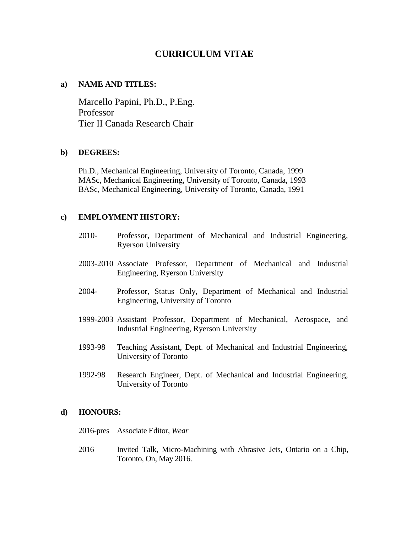# **CURRICULUM VITAE**

### **a) NAME AND TITLES:**

Marcello Papini, Ph.D., P.Eng. Professor Tier II Canada Research Chair

### **b) DEGREES:**

Ph.D., Mechanical Engineering, University of Toronto, Canada, 1999 MASc, Mechanical Engineering, University of Toronto, Canada, 1993 BASc, Mechanical Engineering, University of Toronto, Canada, 1991

## **c) EMPLOYMENT HISTORY:**

- 2010- Professor, Department of Mechanical and Industrial Engineering, Ryerson University
- 2003-2010 Associate Professor, Department of Mechanical and Industrial Engineering, Ryerson University
- 2004- Professor, Status Only, Department of Mechanical and Industrial Engineering, University of Toronto
- 1999-2003 Assistant Professor, Department of Mechanical, Aerospace, and Industrial Engineering, Ryerson University
- 1993-98 Teaching Assistant, Dept. of Mechanical and Industrial Engineering, University of Toronto
- 1992-98 Research Engineer, Dept. of Mechanical and Industrial Engineering, University of Toronto

### **d) HONOURS:**

- 2016-pres Associate Editor, *Wear*
- 2016 Invited Talk, Micro-Machining with Abrasive Jets, Ontario on a Chip, Toronto, On, May 2016.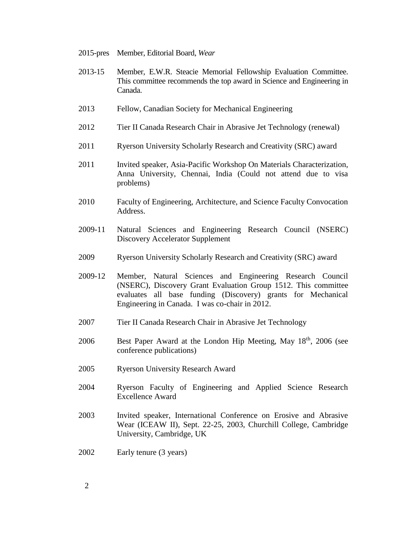- 2015-pres Member, Editorial Board, *Wear*
- 2013-15 Member, E.W.R. Steacie Memorial Fellowship Evaluation Committee. This committee recommends the top award in Science and Engineering in Canada.
- 2013 Fellow, Canadian Society for Mechanical Engineering
- 2012 Tier II Canada Research Chair in Abrasive Jet Technology (renewal)
- 2011 Ryerson University Scholarly Research and Creativity (SRC) award
- 2011 Invited speaker, Asia-Pacific Workshop On Materials Characterization, Anna University, Chennai, India (Could not attend due to visa problems)
- 2010 Faculty of Engineering, Architecture, and Science Faculty Convocation Address.
- 2009-11 Natural Sciences and Engineering Research Council (NSERC) Discovery Accelerator Supplement
- 2009 Ryerson University Scholarly Research and Creativity (SRC) award
- 2009-12 Member, Natural Sciences and Engineering Research Council (NSERC), Discovery Grant Evaluation Group 1512. This committee evaluates all base funding (Discovery) grants for Mechanical Engineering in Canada. I was co-chair in 2012.
- 2007 Tier II Canada Research Chair in Abrasive Jet Technology
- 2006 Best Paper Award at the London Hip Meeting, May  $18<sup>th</sup>$ , 2006 (see conference publications)
- 2005 Ryerson University Research Award
- 2004 Ryerson Faculty of Engineering and Applied Science Research Excellence Award
- 2003 Invited speaker, International Conference on Erosive and Abrasive Wear (ICEAW II), Sept. 22-25, 2003, Churchill College, Cambridge University, Cambridge, UK
- 2002 Early tenure (3 years)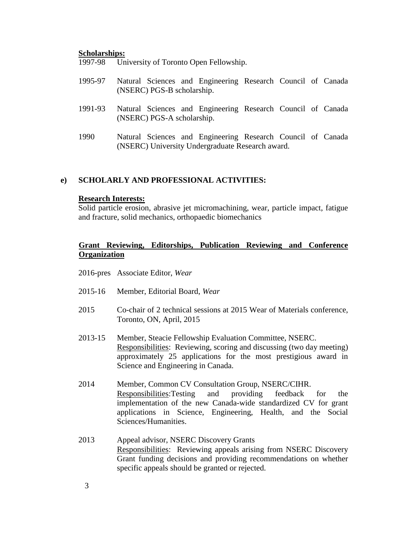#### **Scholarships:**

1997-98 University of Toronto Open Fellowship.

- 1995-97 Natural Sciences and Engineering Research Council of Canada (NSERC) PGS-B scholarship.
- 1991-93 Natural Sciences and Engineering Research Council of Canada (NSERC) PGS-A scholarship.
- 1990 Natural Sciences and Engineering Research Council of Canada (NSERC) University Undergraduate Research award.

### **e) SCHOLARLY AND PROFESSIONAL ACTIVITIES:**

#### **Research Interests:**

Solid particle erosion, abrasive jet micromachining, wear, particle impact, fatigue and fracture, solid mechanics, orthopaedic biomechanics

## **Grant Reviewing, Editorships, Publication Reviewing and Conference Organization**

- 2016-pres Associate Editor, *Wear*
- 2015-16 Member, Editorial Board, *Wear*
- 2015 Co-chair of 2 technical sessions at 2015 Wear of Materials conference, Toronto, ON, April, 2015
- 2013-15 Member, Steacie Fellowship Evaluation Committee, NSERC. Responsibilities: Reviewing, scoring and discussing (two day meeting) approximately 25 applications for the most prestigious award in Science and Engineering in Canada.
- 2014 Member, Common CV Consultation Group, NSERC/CIHR. Responsibilities:Testing and providing feedback for the implementation of the new Canada-wide standardized CV for grant applications in Science, Engineering, Health, and the Social Sciences/Humanities.
- 2013 Appeal advisor, NSERC Discovery Grants Responsibilities: Reviewing appeals arising from NSERC Discovery Grant funding decisions and providing recommendations on whether specific appeals should be granted or rejected.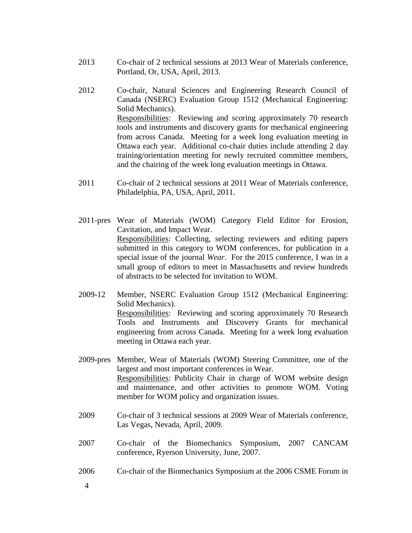- 2013 Co-chair of 2 technical sessions at 2013 Wear of Materials conference, Portland, Or, USA, April, 2013.
- 2012 Co-chair, Natural Sciences and Engineering Research Council of Canada (NSERC) Evaluation Group 1512 (Mechanical Engineering: Solid Mechanics). Responsibilities: Reviewing and scoring approximately 70 research tools and instruments and discovery grants for mechanical engineering from across Canada. Meeting for a week long evaluation meeting in Ottawa each year. Additional co-chair duties include attending 2 day training/orientation meeting for newly recruited committee members, and the chairing of the week long evaluation meetings in Ottawa.
- 2011 Co-chair of 2 technical sessions at 2011 Wear of Materials conference, Philadelphia, PA, USA, April, 2011.
- 2011-pres Wear of Materials (WOM) Category Field Editor for Erosion, Cavitation, and Impact Wear. Responsibilities: Collecting, selecting reviewers and editing papers submitted in this category to WOM conferences, for publication in a special issue of the journal *Wear*. For the 2015 conference, I was in a small group of editors to meet in Massachusetts and review hundreds of abstracts to be selected for invitation to WOM.
- 2009-12 Member, NSERC Evaluation Group 1512 (Mechanical Engineering: Solid Mechanics). Responsibilities: Reviewing and scoring approximately 70 Research Tools and Instruments and Discovery Grants for mechanical engineering from across Canada. Meeting for a week long evaluation meeting in Ottawa each year.
- 2009-pres Member, Wear of Materials (WOM) Steering Committee, one of the largest and most important conferences in Wear. Responsibilities: Publicity Chair in charge of WOM website design and maintenance, and other activities to promote WOM. Voting member for WOM policy and organization issues.
- 2009 Co-chair of 3 technical sessions at 2009 Wear of Materials conference, Las Vegas, Nevada, April, 2009.
- 2007 Co-chair of the Biomechanics Symposium, 2007 CANCAM conference, Ryerson University, June, 2007.
- 2006 Co-chair of the Biomechanics Symposium at the 2006 CSME Forum in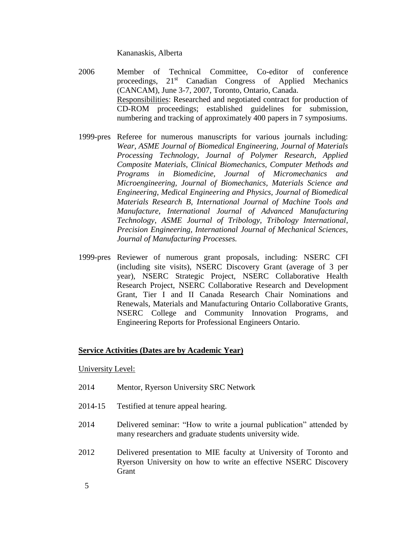Kananaskis, Alberta

- 2006 Member of Technical Committee, Co-editor of conference proceedings, 21<sup>st</sup> Canadian Congress of Applied Mechanics (CANCAM), June 3-7, 2007, Toronto, Ontario, Canada. Responsibilities: Researched and negotiated contract for production of CD-ROM proceedings; established guidelines for submission, numbering and tracking of approximately 400 papers in 7 symposiums.
- 1999-pres Referee for numerous manuscripts for various journals including: *Wear, ASME Journal of Biomedical Engineering, Journal of Materials Processing Technology, Journal of Polymer Research, Applied Composite Materials, Clinical Biomechanics, Computer Methods and Programs in Biomedicine, Journal of Micromechanics and Microengineering, Journal of Biomechanics, Materials Science and Engineering, Medical Engineering and Physics, Journal of Biomedical Materials Research B, International Journal of Machine Tools and Manufacture, International Journal of Advanced Manufacturing Technology, ASME Journal of Tribology, Tribology International, Precision Engineering, International Journal of Mechanical Sciences, Journal of Manufacturing Processes.*
- 1999-pres Reviewer of numerous grant proposals, including: NSERC CFI (including site visits), NSERC Discovery Grant (average of 3 per year), NSERC Strategic Project, NSERC Collaborative Health Research Project, NSERC Collaborative Research and Development Grant, Tier I and II Canada Research Chair Nominations and Renewals, Materials and Manufacturing Ontario Collaborative Grants, NSERC College and Community Innovation Programs, and Engineering Reports for Professional Engineers Ontario.

### **Service Activities (Dates are by Academic Year)**

University Level:

- 2014 Mentor, Ryerson University SRC Network
- 2014-15 Testified at tenure appeal hearing.
- 2014 Delivered seminar: "How to write a journal publication" attended by many researchers and graduate students university wide.
- 2012 Delivered presentation to MIE faculty at University of Toronto and Ryerson University on how to write an effective NSERC Discovery Grant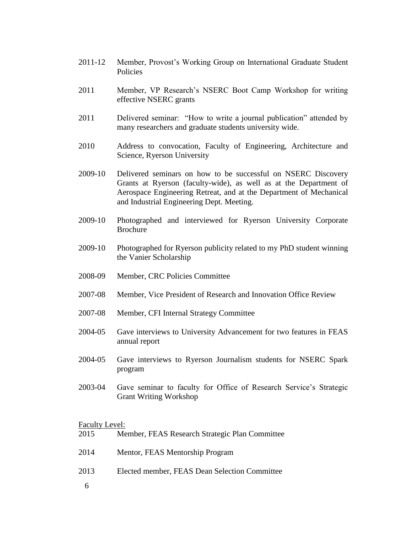- 2011-12 Member, Provost's Working Group on International Graduate Student Policies
- 2011 Member, VP Research's NSERC Boot Camp Workshop for writing effective NSERC grants
- 2011 Delivered seminar: "How to write a journal publication" attended by many researchers and graduate students university wide.
- 2010 Address to convocation, Faculty of Engineering, Architecture and Science, Ryerson University
- 2009-10 Delivered seminars on how to be successful on NSERC Discovery Grants at Ryerson (faculty-wide), as well as at the Department of Aerospace Engineering Retreat, and at the Department of Mechanical and Industrial Engineering Dept. Meeting.
- 2009-10 Photographed and interviewed for Ryerson University Corporate Brochure
- 2009-10 Photographed for Ryerson publicity related to my PhD student winning the Vanier Scholarship
- 2008-09 Member, CRC Policies Committee
- 2007-08 Member, Vice President of Research and Innovation Office Review
- 2007-08 Member, CFI Internal Strategy Committee
- 2004-05 Gave interviews to University Advancement for two features in FEAS annual report
- 2004-05 Gave interviews to Ryerson Journalism students for NSERC Spark program
- 2003-04 Gave seminar to faculty for Office of Research Service's Strategic Grant Writing Workshop

#### Faculty Level:

| 2015 | Member, FEAS Research Strategic Plan Committee |
|------|------------------------------------------------|
| 2014 | Mentor, FEAS Mentorship Program                |
| 2013 | Elected member, FEAS Dean Selection Committee  |
| - 6  |                                                |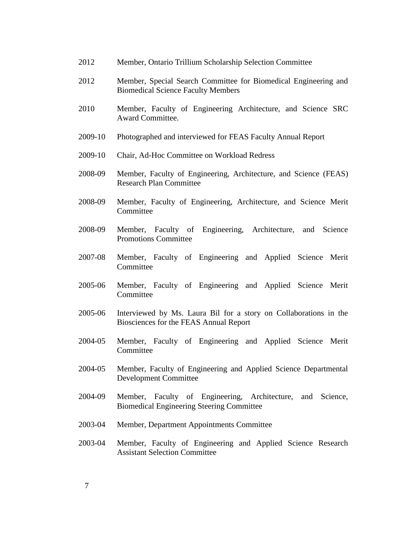- 2012 Member, Ontario Trillium Scholarship Selection Committee
- 2012 Member, Special Search Committee for Biomedical Engineering and Biomedical Science Faculty Members
- 2010 Member, Faculty of Engineering Architecture, and Science SRC Award Committee.
- 2009-10 Photographed and interviewed for FEAS Faculty Annual Report
- 2009-10 Chair, Ad-Hoc Committee on Workload Redress
- 2008-09 Member, Faculty of Engineering, Architecture, and Science (FEAS) Research Plan Committee
- 2008-09 Member, Faculty of Engineering, Architecture, and Science Merit Committee
- 2008-09 Member, Faculty of Engineering, Architecture, and Science Promotions Committee
- 2007-08 Member, Faculty of Engineering and Applied Science Merit **Committee**
- 2005-06 Member, Faculty of Engineering and Applied Science Merit **Committee**
- 2005-06 Interviewed by Ms. Laura Bil for a story on Collaborations in the Biosciences for the FEAS Annual Report
- 2004-05 Member, Faculty of Engineering and Applied Science Merit **Committee**
- 2004-05 Member, Faculty of Engineering and Applied Science Departmental Development Committee
- 2004-09 Member, Faculty of Engineering, Architecture, and Science, Biomedical Engineering Steering Committee
- 2003-04 Member, Department Appointments Committee
- 2003-04 Member, Faculty of Engineering and Applied Science Research Assistant Selection Committee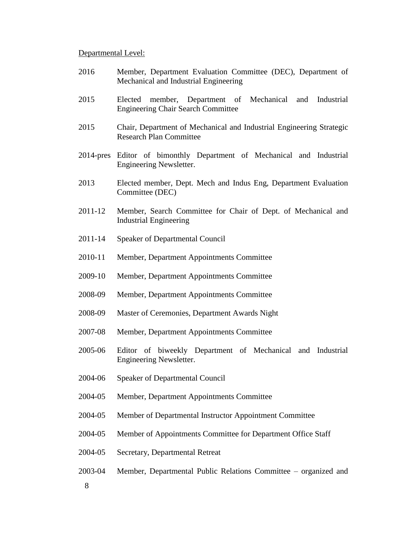#### Departmental Level:

- 2016 Member, Department Evaluation Committee (DEC), Department of Mechanical and Industrial Engineering
- 2015 Elected member, Department of Mechanical and Industrial Engineering Chair Search Committee
- 2015 Chair, Department of Mechanical and Industrial Engineering Strategic Research Plan Committee
- 2014-pres Editor of bimonthly Department of Mechanical and Industrial Engineering Newsletter.
- 2013 Elected member, Dept. Mech and Indus Eng, Department Evaluation Committee (DEC)
- 2011-12 Member, Search Committee for Chair of Dept. of Mechanical and Industrial Engineering
- 2011-14 Speaker of Departmental Council
- 2010-11 Member, Department Appointments Committee
- 2009-10 Member, Department Appointments Committee
- 2008-09 Member, Department Appointments Committee
- 2008-09 Master of Ceremonies, Department Awards Night
- 2007-08 Member, Department Appointments Committee
- 2005-06 Editor of biweekly Department of Mechanical and Industrial Engineering Newsletter.
- 2004-06 Speaker of Departmental Council
- 2004-05 Member, Department Appointments Committee
- 2004-05 Member of Departmental Instructor Appointment Committee
- 2004-05 Member of Appointments Committee for Department Office Staff
- 2004-05 Secretary, Departmental Retreat
- 8 2003-04 Member, Departmental Public Relations Committee – organized and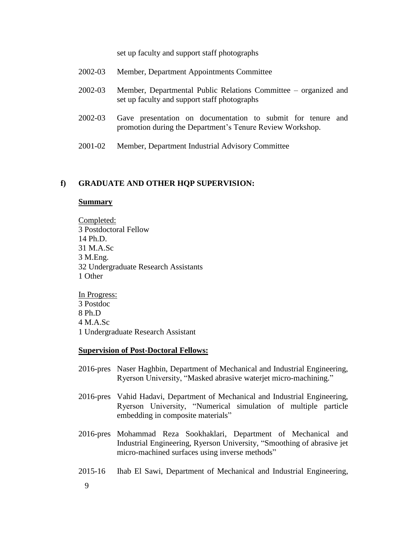set up faculty and support staff photographs

- 2002-03 Member, Departmental Public Relations Committee organized and set up faculty and support staff photographs
- 2002-03 Gave presentation on documentation to submit for tenure and promotion during the Department's Tenure Review Workshop.
- 2001-02 Member, Department Industrial Advisory Committee

#### **f) GRADUATE AND OTHER HQP SUPERVISION:**

#### **Summary**

Completed: 3 Postdoctoral Fellow 14 Ph.D. 31 M.A.Sc 3 M.Eng. 32 Undergraduate Research Assistants 1 Other

In Progress: 3 Postdoc 8 Ph.D 4 M.A.Sc 1 Undergraduate Research Assistant

#### **Supervision of Post-Doctoral Fellows:**

- 2016-pres Naser Haghbin, Department of Mechanical and Industrial Engineering, Ryerson University, "Masked abrasive waterjet micro-machining."
- 2016-pres Vahid Hadavi, Department of Mechanical and Industrial Engineering, Ryerson University, "Numerical simulation of multiple particle embedding in composite materials"
- 2016-pres Mohammad Reza Sookhaklari, Department of Mechanical and Industrial Engineering, Ryerson University, "Smoothing of abrasive jet micro-machined surfaces using inverse methods"
- 2015-16 Ihab El Sawi, Department of Mechanical and Industrial Engineering,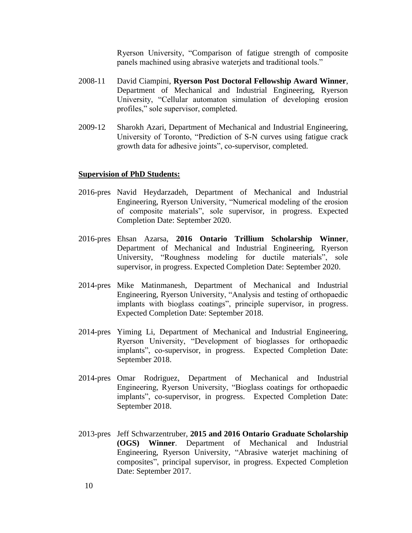Ryerson University, "Comparison of fatigue strength of composite panels machined using abrasive waterjets and traditional tools."

- 2008-11 David Ciampini, **Ryerson Post Doctoral Fellowship Award Winner**, Department of Mechanical and Industrial Engineering, Ryerson University, "Cellular automaton simulation of developing erosion profiles," sole supervisor, completed.
- 2009-12 Sharokh Azari, Department of Mechanical and Industrial Engineering, University of Toronto, "Prediction of S-N curves using fatigue crack growth data for adhesive joints", co-supervisor, completed.

#### **Supervision of PhD Students:**

- 2016-pres Navid Heydarzadeh, Department of Mechanical and Industrial Engineering, Ryerson University, "Numerical modeling of the erosion of composite materials", sole supervisor, in progress. Expected Completion Date: September 2020.
- 2016-pres Ehsan Azarsa, **2016 Ontario Trillium Scholarship Winner**, Department of Mechanical and Industrial Engineering, Ryerson University, "Roughness modeling for ductile materials", sole supervisor, in progress. Expected Completion Date: September 2020.
- 2014-pres Mike Matinmanesh, Department of Mechanical and Industrial Engineering, Ryerson University, "Analysis and testing of orthopaedic implants with bioglass coatings", principle supervisor, in progress. Expected Completion Date: September 2018.
- 2014-pres Yiming Li, Department of Mechanical and Industrial Engineering, Ryerson University, "Development of bioglasses for orthopaedic implants", co-supervisor, in progress. Expected Completion Date: September 2018.
- 2014-pres Omar Rodriguez, Department of Mechanical and Industrial Engineering, Ryerson University, "Bioglass coatings for orthopaedic implants", co-supervisor, in progress. Expected Completion Date: September 2018.
- 2013-pres Jeff Schwarzentruber, **2015 and 2016 Ontario Graduate Scholarship (OGS) Winner**. Department of Mechanical and Industrial Engineering, Ryerson University, "Abrasive waterjet machining of composites", principal supervisor, in progress. Expected Completion Date: September 2017.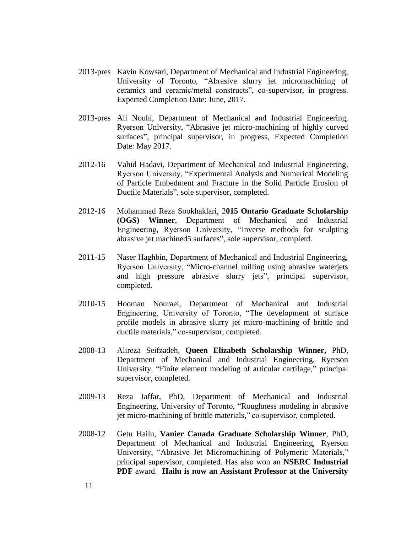- 2013-pres Kavin Kowsari, Department of Mechanical and Industrial Engineering, University of Toronto, "Abrasive slurry jet micromachining of ceramics and ceramic/metal constructs", co-supervisor, in progress. Expected Completion Date: June, 2017.
- 2013-pres Ali Nouhi, Department of Mechanical and Industrial Engineering, Ryerson University, "Abrasive jet micro-machining of highly curved surfaces", principal supervisor, in progress, Expected Completion Date: May 2017.
- 2012-16 Vahid Hadavi, Department of Mechanical and Industrial Engineering, Ryerson University, "Experimental Analysis and Numerical Modeling of Particle Embedment and Fracture in the Solid Particle Erosion of Ductile Materials", sole supervisor, completed.
- 2012-16 Mohammad Reza Sookhaklari, 2**015 Ontario Graduate Scholarship (OGS) Winner**, Department of Mechanical and Industrial Engineering, Ryerson University, "Inverse methods for sculpting abrasive jet machined5 surfaces", sole supervisor, completd.
- 2011-15 Naser Haghbin, Department of Mechanical and Industrial Engineering, Ryerson University, "Micro-channel milling using abrasive waterjets and high pressure abrasive slurry jets", principal supervisor, completed.
- 2010-15 Hooman Nouraei, Department of Mechanical and Industrial Engineering, University of Toronto, "The development of surface profile models in abrasive slurry jet micro-machining of brittle and ductile materials," co-supervisor, completed.
- 2008-13 Alireza Seifzadeh, **Queen Elizabeth Scholarship Winner,** PhD, Department of Mechanical and Industrial Engineering, Ryerson University, "Finite element modeling of articular cartilage," principal supervisor, completed.
- 2009-13 Reza Jaffar, PhD, Department of Mechanical and Industrial Engineering, University of Toronto, "Roughness modeling in abrasive jet micro-machining of brittle materials," co-supervisor, completed.
- 2008-12 Getu Hailu, **Vanier Canada Graduate Scholarship Winner**, PhD, Department of Mechanical and Industrial Engineering, Ryerson University, "Abrasive Jet Micromachining of Polymeric Materials," principal supervisor, completed. Has also won an **NSERC Industrial PDF** award. **Hailu is now an Assistant Professor at the University**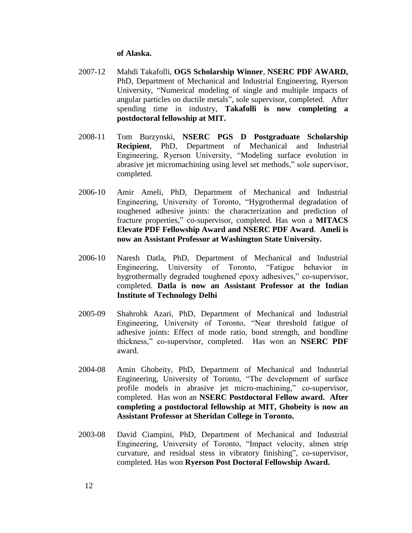#### **of Alaska.**

- 2007-12 Mahdi Takafolli, **OGS Scholarship Winner**, **NSERC PDF AWARD,**  PhD, Department of Mechanical and Industrial Engineering, Ryerson University, "Numerical modeling of single and multiple impacts of angular particles on ductile metals", sole supervisor, completed. After spending time in industry, **Takafolli is now completing a postdoctoral fellowship at MIT.**
- 2008-11 Tom Burzynski, **NSERC PGS D Postgraduate Scholarship Recipient**, PhD, Department of Mechanical and Industrial Engineering, Ryerson University, "Modeling surface evolution in abrasive jet micromachining using level set methods," sole supervisor, completed.
- 2006-10 Amir Ameli, PhD, Department of Mechanical and Industrial Engineering, University of Toronto, "Hygrothermal degradation of toughened adhesive joints: the characterization and prediction of fracture properties," co-supervisor, completed. Has won a **MITACS Elevate PDF Fellowship Award and NSERC PDF Award**. **Ameli is now an Assistant Professor at Washington State University.**
- 2006-10 Naresh Datla, PhD, Department of Mechanical and Industrial Engineering, University of Toronto, "Fatigue behavior in hygrothermally degraded toughened epoxy adhesives," co-supervisor, completed. **Datla is now an Assistant Professor at the Indian Institute of Technology Delhi**
- 2005-09 Shahrohk Azari, PhD, Department of Mechanical and Industrial Engineering, University of Toronto, "Near threshold fatigue of adhesive joints: Effect of mode ratio, bond strength, and bondline thickness," co-supervisor, completed. Has won an **NSERC PDF** award.
- 2004-08 Amin Ghobeity, PhD, Department of Mechanical and Industrial Engineering, University of Toronto, "The development of surface profile models in abrasive jet micro-machining," co-supervisor, completed. Has won an **NSERC Postdoctoral Fellow award. After completing a postdoctoral fellowship at MIT, Ghobeity is now an Assistant Professor at Sheridan College in Toronto.**
- 2003-08 David Ciampini, PhD, Department of Mechanical and Industrial Engineering, University of Toronto, "Impact velocity, almen strip curvature, and residual stess in vibratory finishing", co-supervisor, completed. Has won **Ryerson Post Doctoral Fellowship Award.**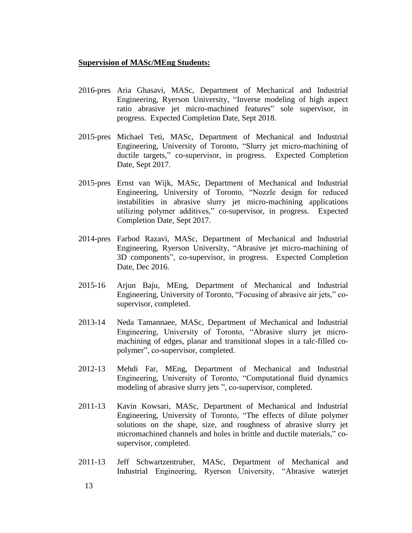### **Supervision of MASc/MEng Students:**

- 2016-pres Aria Ghasavi, MASc, Department of Mechanical and Industrial Engineering, Ryerson University, "Inverse modeling of high aspect ratio abrasive jet micro-machined features" sole supervisor, in progress. Expected Completion Date, Sept 2018.
- 2015-pres Michael Teti, MASc, Department of Mechanical and Industrial Engineering, University of Toronto, "Slurry jet micro-machining of ductile targets," co-supervisor, in progress. Expected Completion Date, Sept 2017.
- 2015-pres Ernst van Wijk, MASc, Department of Mechanical and Industrial Engineering, University of Toronto, "Nozzle design for reduced instabilities in abrasive slurry jet micro-machining applications utilizing polymer additives," co-supervisor, in progress. Expected Completion Date, Sept 2017.
- 2014-pres Farbod Razavi, MASc, Department of Mechanical and Industrial Engineering, Ryerson University, "Abrasive jet micro-machining of 3D components", co-supervisor, in progress. Expected Completion Date, Dec 2016.
- 2015-16 Arjun Baju, MEng, Department of Mechanical and Industrial Engineering, University of Toronto, "Focusing of abrasive air jets," cosupervisor, completed.
- 2013-14 Neda Tamannaee, MASc, Department of Mechanical and Industrial Engineering, University of Toronto, "Abrasive slurry jet micromachining of edges, planar and transitional slopes in a talc-filled copolymer", co-supervisor, completed.
- 2012-13 Mehdi Far, MEng, Department of Mechanical and Industrial Engineering, University of Toronto, "Computational fluid dynamics modeling of abrasive slurry jets ", co-supervisor, completed.
- 2011-13 Kavin Kowsari, MASc, Department of Mechanical and Industrial Engineering, University of Toronto, "The effects of dilute polymer solutions on the shape, size, and roughness of abrasive slurry jet micromachined channels and holes in brittle and ductile materials," cosupervisor, completed.
- 2011-13 Jeff Schwartzentruber, MASc, Department of Mechanical and Industrial Engineering, Ryerson University, "Abrasive waterjet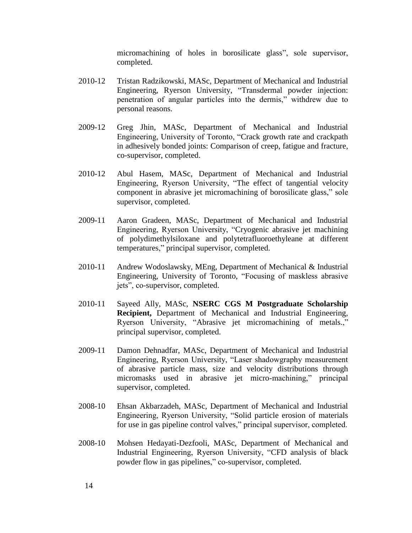micromachining of holes in borosilicate glass", sole supervisor, completed.

- 2010-12 Tristan Radzikowski, MASc, Department of Mechanical and Industrial Engineering, Ryerson University, "Transdermal powder injection: penetration of angular particles into the dermis," withdrew due to personal reasons.
- 2009-12 Greg Jhin, MASc, Department of Mechanical and Industrial Engineering, University of Toronto, "Crack growth rate and crackpath in adhesively bonded joints: Comparison of creep, fatigue and fracture, co-supervisor, completed.
- 2010-12 Abul Hasem, MASc, Department of Mechanical and Industrial Engineering, Ryerson University, "The effect of tangential velocity component in abrasive jet micromachining of borosilicate glass," sole supervisor, completed.
- 2009-11 Aaron Gradeen, MASc, Department of Mechanical and Industrial Engineering, Ryerson University, "Cryogenic abrasive jet machining of polydimethylsiloxane and polytetrafluoroethyleane at different temperatures," principal supervisor, completed.
- 2010-11 Andrew Wodoslawsky, MEng, Department of Mechanical & Industrial Engineering, University of Toronto, "Focusing of maskless abrasive jets", co-supervisor, completed.
- 2010-11 Sayeed Ally, MASc, **NSERC CGS M Postgraduate Scholarship Recipient,** Department of Mechanical and Industrial Engineering, Ryerson University, "Abrasive jet micromachining of metals.," principal supervisor, completed.
- 2009-11 Damon Dehnadfar, MASc, Department of Mechanical and Industrial Engineering, Ryerson University, "Laser shadowgraphy measurement of abrasive particle mass, size and velocity distributions through micromasks used in abrasive jet micro-machining," principal supervisor, completed.
- 2008-10 Ehsan Akbarzadeh, MASc, Department of Mechanical and Industrial Engineering, Ryerson University, "Solid particle erosion of materials for use in gas pipeline control valves," principal supervisor, completed.
- 2008-10 Mohsen Hedayati-Dezfooli, MASc, Department of Mechanical and Industrial Engineering, Ryerson University, "CFD analysis of black powder flow in gas pipelines," co-supervisor, completed.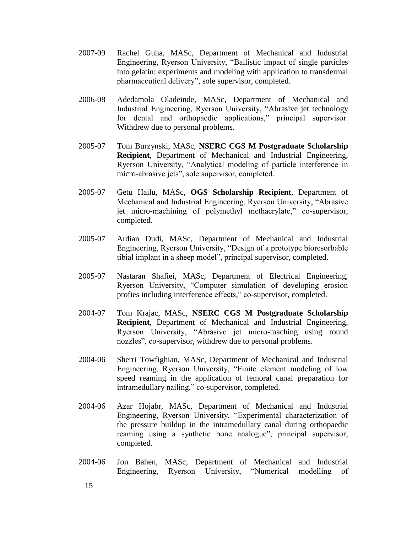- 2007-09 Rachel Guha, MASc, Department of Mechanical and Industrial Engineering, Ryerson University, "Ballistic impact of single particles into gelatin: experiments and modeling with application to transdermal pharmaceutical delivery", sole supervisor, completed.
- 2006-08 Adedamola Oladeinde, MASc, Department of Mechanical and Industrial Engineering, Ryerson University, "Abrasive jet technology for dental and orthopaedic applications," principal supervisor. Withdrew due to personal problems.
- 2005-07 Tom Burzynski, MASc, **NSERC CGS M Postgraduate Scholarship Recipient**, Department of Mechanical and Industrial Engineering, Ryerson University, "Analytical modeling of particle interference in micro-abrasive jets", sole supervisor, completed.
- 2005-07 Getu Hailu, MASc, **OGS Scholarship Recipient**, Department of Mechanical and Industrial Engineering, Ryerson University, "Abrasive jet micro-machining of polymethyl methacrylate," co-supervisor, completed.
- 2005-07 Ardian Dudi, MASc, Department of Mechanical and Industrial Engineering, Ryerson University, "Design of a prototype bioresorbable tibial implant in a sheep model", principal supervisor, completed.
- 2005-07 Nastaran Shafiei, MASc, Department of Electrical Engineering, Ryerson University, "Computer simulation of developing erosion profies including interference effects," co-supervisor, completed.
- 2004-07 Tom Krajac, MASc, **NSERC CGS M Postgraduate Scholarship Recipient**, Department of Mechanical and Industrial Engineering, Ryerson University, "Abrasive jet micro-maching using round nozzles", co-supervisor, withdrew due to personal problems.
- 2004-06 Sherri Towfighian, MASc, Department of Mechanical and Industrial Engineering, Ryerson University, "Finite element modeling of low speed reaming in the application of femoral canal preparation for intramedullary nailing," co-supervisor, completed.
- 2004-06 Azar Hojabr, MASc, Department of Mechanical and Industrial Engineering, Ryerson University, "Experimental characterization of the pressure buildup in the intramedullary canal during orthopaedic reaming using a synthetic bone analogue", principal supervisor, completed.
- 2004-06 Jon Bahen, MASc, Department of Mechanical and Industrial Engineering, Ryerson University, "Numerical modelling of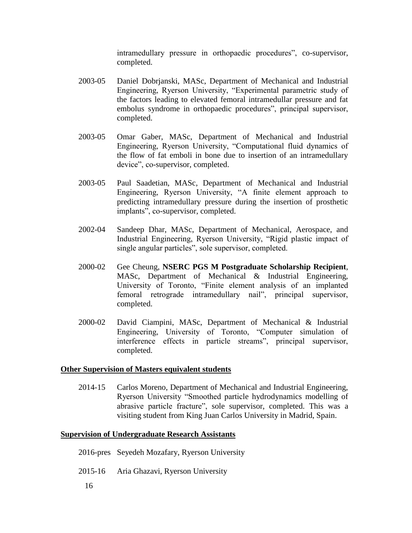intramedullary pressure in orthopaedic procedures", co-supervisor, completed.

- 2003-05 Daniel Dobrjanski, MASc, Department of Mechanical and Industrial Engineering, Ryerson University, "Experimental parametric study of the factors leading to elevated femoral intramedullar pressure and fat embolus syndrome in orthopaedic procedures", principal supervisor, completed.
- 2003-05 Omar Gaber, MASc, Department of Mechanical and Industrial Engineering, Ryerson University, "Computational fluid dynamics of the flow of fat emboli in bone due to insertion of an intramedullary device", co-supervisor, completed.
- 2003-05 Paul Saadetian, MASc, Department of Mechanical and Industrial Engineering, Ryerson University, "A finite element approach to predicting intramedullary pressure during the insertion of prosthetic implants", co-supervisor, completed.
- 2002-04 Sandeep Dhar, MASc, Department of Mechanical, Aerospace, and Industrial Engineering, Ryerson University, "Rigid plastic impact of single angular particles", sole supervisor, completed.
- 2000-02 Gee Cheung, **NSERC PGS M Postgraduate Scholarship Recipient**, MASc, Department of Mechanical & Industrial Engineering, University of Toronto, "Finite element analysis of an implanted femoral retrograde intramedullary nail", principal supervisor, completed.
- 2000-02 David Ciampini, MASc, Department of Mechanical & Industrial Engineering, University of Toronto, "Computer simulation of interference effects in particle streams", principal supervisor, completed.

### **Other Supervision of Masters equivalent students**

2014-15 Carlos Moreno, Department of Mechanical and Industrial Engineering, Ryerson University "Smoothed particle hydrodynamics modelling of abrasive particle fracture", sole supervisor, completed. This was a visiting student from King Juan Carlos University in Madrid, Spain.

#### **Supervision of Undergraduate Research Assistants**

- 2016-pres Seyedeh Mozafary, Ryerson University
- 2015-16 Aria Ghazavi, Ryerson University
	- 16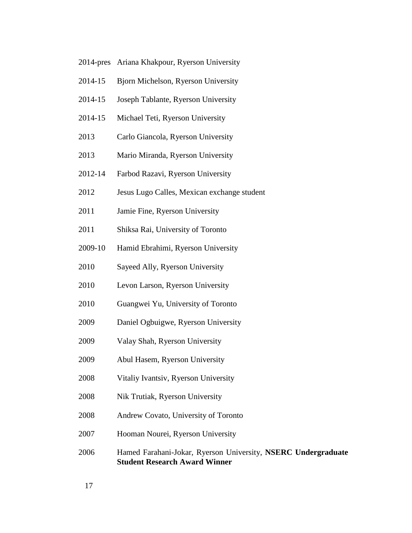- 2014-pres Ariana Khakpour, Ryerson University
- 2014-15 Bjorn Michelson, Ryerson University
- 2014-15 Joseph Tablante, Ryerson University
- 2014-15 Michael Teti, Ryerson University
- Carlo Giancola, Ryerson University
- Mario Miranda, Ryerson University
- 2012-14 Farbod Razavi, Ryerson University
- Jesus Lugo Calles, Mexican exchange student
- Jamie Fine, Ryerson University
- Shiksa Rai, University of Toronto
- 2009-10 Hamid Ebrahimi, Ryerson University
- Sayeed Ally, Ryerson University
- Levon Larson, Ryerson University
- Guangwei Yu, University of Toronto
- Daniel Ogbuigwe, Ryerson University
- Valay Shah, Ryerson University
- Abul Hasem, Ryerson University
- Vitaliy Ivantsiv, Ryerson University
- Nik Trutiak, Ryerson University
- Andrew Covato, University of Toronto
- Hooman Nourei, Ryerson University

## Hamed Farahani-Jokar, Ryerson University, **NSERC Undergraduate Student Research Award Winner**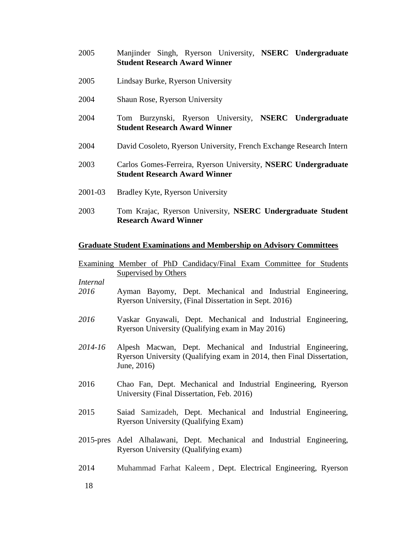- 2005 Manjinder Singh, Ryerson University, **NSERC Undergraduate Student Research Award Winner**
- 2005 Lindsay Burke, Ryerson University
- 2004 Shaun Rose, Ryerson University
- 2004 Tom Burzynski, Ryerson University, **NSERC Undergraduate Student Research Award Winner**
- 2004 David Cosoleto, Ryerson University, French Exchange Research Intern
- 2003 Carlos Gomes-Ferreira, Ryerson University, **NSERC Undergraduate Student Research Award Winner**
- 2001-03 Bradley Kyte, Ryerson University
- 2003 Tom Krajac, Ryerson University, **NSERC Undergraduate Student Research Award Winner**

### **Graduate Student Examinations and Membership on Advisory Committees**

|                         | Examining Member of PhD Candidacy/Final Exam Committee for Students                                                                                 |  |  |  |  |  |
|-------------------------|-----------------------------------------------------------------------------------------------------------------------------------------------------|--|--|--|--|--|
|                         | <b>Supervised by Others</b>                                                                                                                         |  |  |  |  |  |
| <i>Internal</i><br>2016 | Ayman Bayomy, Dept. Mechanical and Industrial Engineering,<br>Ryerson University, (Final Dissertation in Sept. 2016)                                |  |  |  |  |  |
| 2016                    | Vaskar Gnyawali, Dept. Mechanical and Industrial Engineering,<br>Ryerson University (Qualifying exam in May 2016)                                   |  |  |  |  |  |
| 2014-16                 | Alpesh Macwan, Dept. Mechanical and Industrial Engineering,<br>Ryerson University (Qualifying exam in 2014, then Final Dissertation,<br>June, 2016) |  |  |  |  |  |
| 2016                    | Chao Fan, Dept. Mechanical and Industrial Engineering, Ryerson<br>University (Final Dissertation, Feb. 2016)                                        |  |  |  |  |  |
| 2015                    | Saiad Samizadeh, Dept. Mechanical and Industrial Engineering,<br><b>Ryerson University (Qualifying Exam)</b>                                        |  |  |  |  |  |
|                         | 2015-pres Adel Alhalawani, Dept. Mechanical and Industrial Engineering,<br>Ryerson University (Qualifying exam)                                     |  |  |  |  |  |
| 2014                    | Muhammad Farhat Kaleem, Dept. Electrical Engineering, Ryerson                                                                                       |  |  |  |  |  |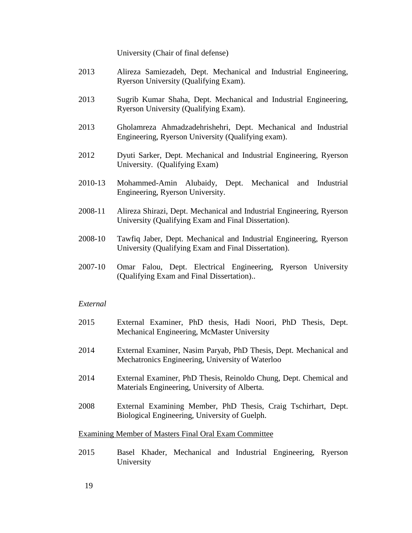University (Chair of final defense)

- 2013 Alireza Samiezadeh, Dept. Mechanical and Industrial Engineering, Ryerson University (Qualifying Exam).
- 2013 Sugrib Kumar Shaha, Dept. Mechanical and Industrial Engineering, Ryerson University (Qualifying Exam).
- 2013 Gholamreza Ahmadzadehrishehri, Dept. Mechanical and Industrial Engineering, Ryerson University (Qualifying exam).
- 2012 Dyuti Sarker, Dept. Mechanical and Industrial Engineering, Ryerson University. (Qualifying Exam)
- 2010-13 Mohammed-Amin Alubaidy, Dept. Mechanical and Industrial Engineering, Ryerson University.
- 2008-11 Alireza Shirazi, Dept. Mechanical and Industrial Engineering, Ryerson University (Qualifying Exam and Final Dissertation).
- 2008-10 Tawfiq Jaber, Dept. Mechanical and Industrial Engineering, Ryerson University (Qualifying Exam and Final Dissertation).
- 2007-10 Omar Falou, Dept. Electrical Engineering, Ryerson University (Qualifying Exam and Final Dissertation)..

#### *External*

- 2015 External Examiner, PhD thesis, Hadi Noori, PhD Thesis, Dept. Mechanical Engineering, McMaster University
- 2014 External Examiner, Nasim Paryab, PhD Thesis, Dept. Mechanical and Mechatronics Engineering, University of Waterloo
- 2014 External Examiner, PhD Thesis, Reinoldo Chung, Dept. Chemical and Materials Engineering, University of Alberta.
- 2008 External Examining Member, PhD Thesis, Craig Tschirhart, Dept. Biological Engineering, University of Guelph.

#### Examining Member of Masters Final Oral Exam Committee

2015 Basel Khader, Mechanical and Industrial Engineering, Ryerson University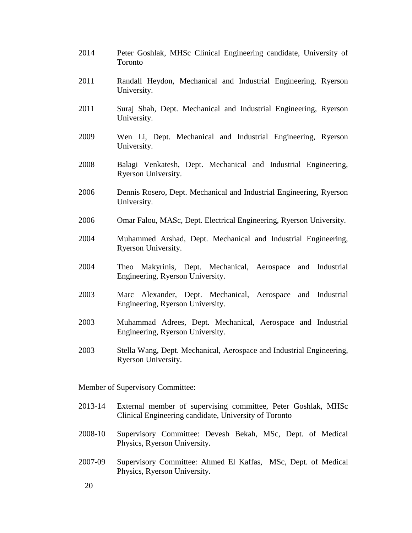- 2014 Peter Goshlak, MHSc Clinical Engineering candidate, University of Toronto
- 2011 Randall Heydon, Mechanical and Industrial Engineering, Ryerson University.
- 2011 Suraj Shah, Dept. Mechanical and Industrial Engineering, Ryerson University.
- 2009 Wen Li, Dept. Mechanical and Industrial Engineering, Ryerson University.
- 2008 Balagi Venkatesh, Dept. Mechanical and Industrial Engineering, Ryerson University.
- 2006 Dennis Rosero, Dept. Mechanical and Industrial Engineering, Ryerson University.
- 2006 Omar Falou, MASc, Dept. Electrical Engineering, Ryerson University.
- 2004 Muhammed Arshad, Dept. Mechanical and Industrial Engineering, Ryerson University.
- 2004 Theo Makyrinis, Dept. Mechanical, Aerospace and Industrial Engineering, Ryerson University.
- 2003 Marc Alexander, Dept. Mechanical, Aerospace and Industrial Engineering, Ryerson University.
- 2003 Muhammad Adrees, Dept. Mechanical, Aerospace and Industrial Engineering, Ryerson University.
- 2003 Stella Wang, Dept. Mechanical, Aerospace and Industrial Engineering, Ryerson University.

#### Member of Supervisory Committee:

- 2013-14 External member of supervising committee, Peter Goshlak, MHSc Clinical Engineering candidate, University of Toronto
- 2008-10 Supervisory Committee: Devesh Bekah, MSc, Dept. of Medical Physics, Ryerson University.
- 2007-09 Supervisory Committee: Ahmed El Kaffas, MSc, Dept. of Medical Physics, Ryerson University.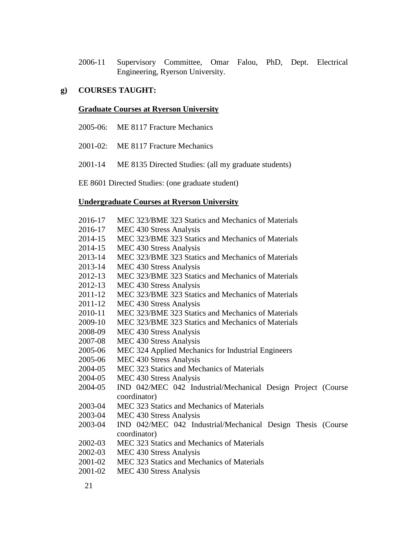2006-11 Supervisory Committee, Omar Falou, PhD, Dept. Electrical Engineering, Ryerson University.

# **g) COURSES TAUGHT:**

## **Graduate Courses at Ryerson University**

- 2005-06: ME 8117 Fracture Mechanics
- 2001-02: ME 8117 Fracture Mechanics
- 2001-14 ME 8135 Directed Studies: (all my graduate students)

EE 8601 Directed Studies: (one graduate student)

## **Undergraduate Courses at Ryerson University**

| 2016-17 | MEC 323/BME 323 Statics and Mechanics of Materials           |
|---------|--------------------------------------------------------------|
| 2016-17 | MEC 430 Stress Analysis                                      |
| 2014-15 | MEC 323/BME 323 Statics and Mechanics of Materials           |
| 2014-15 | MEC 430 Stress Analysis                                      |
| 2013-14 | MEC 323/BME 323 Statics and Mechanics of Materials           |
| 2013-14 | MEC 430 Stress Analysis                                      |
| 2012-13 | MEC 323/BME 323 Statics and Mechanics of Materials           |
| 2012-13 | MEC 430 Stress Analysis                                      |
| 2011-12 | MEC 323/BME 323 Statics and Mechanics of Materials           |
| 2011-12 | MEC 430 Stress Analysis                                      |
| 2010-11 | MEC 323/BME 323 Statics and Mechanics of Materials           |
| 2009-10 | MEC 323/BME 323 Statics and Mechanics of Materials           |
| 2008-09 | MEC 430 Stress Analysis                                      |
| 2007-08 | MEC 430 Stress Analysis                                      |
| 2005-06 | MEC 324 Applied Mechanics for Industrial Engineers           |
| 2005-06 | MEC 430 Stress Analysis                                      |
| 2004-05 | MEC 323 Statics and Mechanics of Materials                   |
| 2004-05 | MEC 430 Stress Analysis                                      |
| 2004-05 | IND 042/MEC 042 Industrial/Mechanical Design Project (Course |
|         | coordinator)                                                 |
| 2003-04 | MEC 323 Statics and Mechanics of Materials                   |
| 2003-04 | MEC 430 Stress Analysis                                      |
| 2003-04 | IND 042/MEC 042 Industrial/Mechanical Design Thesis (Course  |
|         | coordinator)                                                 |
| 2002-03 | MEC 323 Statics and Mechanics of Materials                   |
| 2002-03 | MEC 430 Stress Analysis                                      |
| 2001-02 | MEC 323 Statics and Mechanics of Materials                   |
| 2001-02 | MEC 430 Stress Analysis                                      |
|         |                                                              |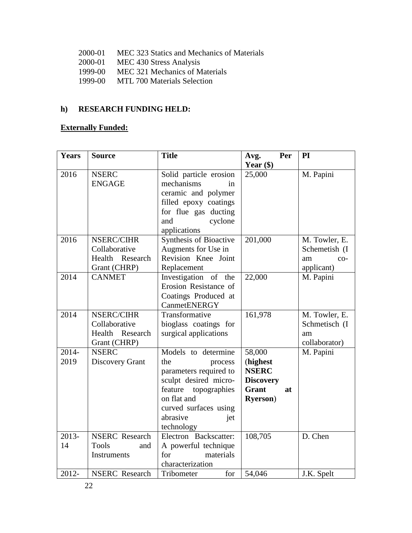- 2000-01 MEC 323 Statics and Mechanics of Materials
- 2000-01 MEC 430 Stress Analysis
- 1999-00 MEC 321 Mechanics of Materials
- 1999-00 MTL 700 Materials Selection

# **h) RESEARCH FUNDING HELD:**

# **Externally Funded:**

| <b>Years</b> | <b>Source</b>         | <b>Title</b>            | Per<br>Avg.        | PI            |
|--------------|-----------------------|-------------------------|--------------------|---------------|
|              |                       |                         | Year $(\$)$        |               |
| 2016         | <b>NSERC</b>          | Solid particle erosion  | 25,000             | M. Papini     |
|              | <b>ENGAGE</b>         | mechanisms<br>in        |                    |               |
|              |                       | ceramic and polymer     |                    |               |
|              |                       | filled epoxy coatings   |                    |               |
|              |                       | for flue gas ducting    |                    |               |
|              |                       | cyclone<br>and          |                    |               |
|              |                       | applications            |                    |               |
| 2016         | NSERC/CIHR            | Synthesis of Bioactive  | 201,000            | M. Towler, E. |
|              | Collaborative         | Augments for Use in     |                    | Schemetish (I |
|              | Health<br>Research    | Revision Knee Joint     |                    | am<br>$CO-$   |
|              | Grant (CHRP)          | Replacement             |                    | applicant)    |
| 2014         | <b>CANMET</b>         | Investigation of the    | 22,000             | M. Papini     |
|              |                       | Erosion Resistance of   |                    |               |
|              |                       | Coatings Produced at    |                    |               |
|              |                       | CanmetENERGY            |                    |               |
| 2014         | NSERC/CIHR            | Transformative          | 161,978            | M. Towler, E. |
|              | Collaborative         | bioglass coatings for   |                    | Schmetisch (I |
|              | Health<br>Research    | surgical applications   |                    | am            |
|              | Grant (CHRP)          |                         |                    | collaborator) |
| $2014 -$     | <b>NSERC</b>          | Models to determine     | 58,000             | M. Papini     |
| 2019         | Discovery Grant       | the<br>process          | (highest           |               |
|              |                       | parameters required to  | <b>NSERC</b>       |               |
|              |                       | sculpt desired micro-   | <b>Discovery</b>   |               |
|              |                       | feature<br>topographies | <b>Grant</b><br>at |               |
|              |                       | on flat and             | <b>Ryerson</b> )   |               |
|              |                       | curved surfaces using   |                    |               |
|              |                       | abrasive<br>jet         |                    |               |
|              |                       | technology              |                    |               |
| 2013-        | <b>NSERC</b> Research | Electron Backscatter:   | 108,705            | D. Chen       |
| 14           | <b>Tools</b><br>and   | A powerful technique    |                    |               |
|              | <b>Instruments</b>    | for<br>materials        |                    |               |
|              |                       | characterization        |                    |               |
| 2012-        | <b>NSERC</b> Research | for<br>Tribometer       | 54,046             | J.K. Spelt    |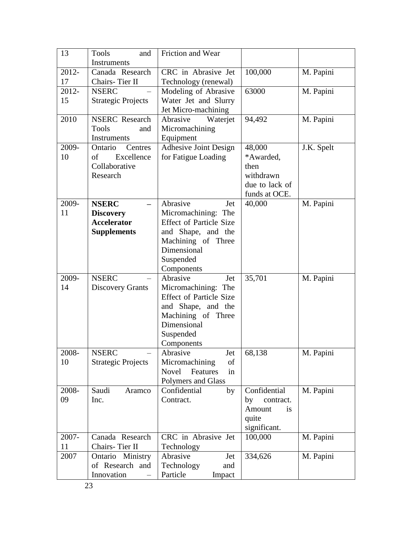| 13    | Tools<br>and              | Friction and Wear              |                 |            |
|-------|---------------------------|--------------------------------|-----------------|------------|
|       | Instruments               |                                |                 |            |
| 2012- | Canada Research           | CRC in Abrasive Jet            | 100,000         | M. Papini  |
| 17    | Chairs-Tier II            | Technology (renewal)           |                 |            |
| 2012- | <b>NSERC</b>              | Modeling of Abrasive           | 63000           | M. Papini  |
| 15    | <b>Strategic Projects</b> | Water Jet and Slurry           |                 |            |
|       |                           | Jet Micro-machining            |                 |            |
| 2010  | <b>NSERC</b> Research     | Abrasive<br>Waterjet           | 94,492          | M. Papini  |
|       | Tools<br>and              | Micromachining                 |                 |            |
|       | <b>Instruments</b>        | Equipment                      |                 |            |
| 2009- | Ontario<br>Centres        | <b>Adhesive Joint Design</b>   | 48,000          | J.K. Spelt |
| 10    | Excellence<br>οf          | for Fatigue Loading            | *Awarded,       |            |
|       | Collaborative             |                                | then            |            |
|       | Research                  |                                | withdrawn       |            |
|       |                           |                                | due to lack of  |            |
|       |                           |                                | funds at OCE.   |            |
| 2009- | <b>NSERC</b>              | Abrasive<br>Jet                | 40,000          | M. Papini  |
| 11    | <b>Discovery</b>          | Micromachining: The            |                 |            |
|       | <b>Accelerator</b>        | <b>Effect of Particle Size</b> |                 |            |
|       | <b>Supplements</b>        | and Shape, and the             |                 |            |
|       |                           | Machining of Three             |                 |            |
|       |                           | Dimensional                    |                 |            |
|       |                           | Suspended                      |                 |            |
|       |                           | Components                     |                 |            |
| 2009- | <b>NSERC</b>              | Abrasive<br>Jet                | 35,701          | M. Papini  |
| 14    | <b>Discovery Grants</b>   | Micromachining: The            |                 |            |
|       |                           | <b>Effect of Particle Size</b> |                 |            |
|       |                           | and Shape, and the             |                 |            |
|       |                           | Machining of Three             |                 |            |
|       |                           | Dimensional                    |                 |            |
|       |                           | Suspended                      |                 |            |
|       |                           | Components                     |                 |            |
| 2008- | <b>NSERC</b>              | Abrasive<br>Jet                | 68,138          | M. Papini  |
| 10    | <b>Strategic Projects</b> | Micromachining<br>of           |                 |            |
|       |                           | <b>Novel</b><br>Features<br>in |                 |            |
|       |                           | Polymers and Glass             |                 |            |
| 2008- | Saudi<br>Aramco           | Confidential<br>by             | Confidential    | M. Papini  |
| 09    | Inc.                      | Contract.                      | by<br>contract. |            |
|       |                           |                                | Amount<br>is    |            |
|       |                           |                                | quite           |            |
|       |                           |                                | significant.    |            |
| 2007- | Canada Research           | CRC in Abrasive Jet            | 100,000         | M. Papini  |
| 11    | Chairs-Tier II            | Technology                     |                 |            |
| 2007  | Ontario Ministry          | Abrasive<br>Jet                | 334,626         | M. Papini  |
|       | of Research and           | Technology<br>and              |                 |            |
|       | Innovation                | Particle<br>Impact             |                 |            |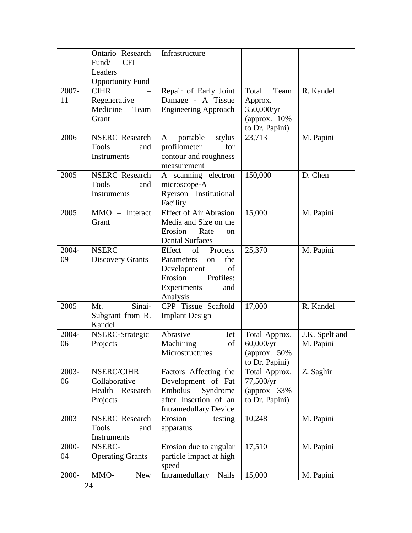|       | Ontario Research<br><b>CFI</b><br>Fund/ | Infrastructure                            |                                    |                |
|-------|-----------------------------------------|-------------------------------------------|------------------------------------|----------------|
|       | Leaders                                 |                                           |                                    |                |
|       | <b>Opportunity Fund</b>                 |                                           |                                    |                |
| 2007- | <b>CIHR</b>                             | Repair of Early Joint                     | Total<br>Team                      | R. Kandel      |
| 11    | Regenerative                            | Damage - A Tissue                         | Approx.                            |                |
|       | Medicine<br>Team                        | <b>Engineering Approach</b>               | 350,000/yr                         |                |
|       | Grant                                   |                                           | (approx. $10\%$                    |                |
|       |                                         |                                           | to Dr. Papini)                     |                |
| 2006  | <b>NSERC</b> Research                   | portable<br>stylus<br>A                   | 23,713                             | M. Papini      |
|       | <b>Tools</b><br>and                     | profilometer<br>for                       |                                    |                |
|       | Instruments                             | contour and roughness                     |                                    |                |
|       |                                         | measurement                               |                                    |                |
| 2005  | <b>NSERC</b> Research                   | A scanning electron                       | 150,000                            | D. Chen        |
|       | <b>Tools</b><br>and                     | microscope-A                              |                                    |                |
|       | Instruments                             | Ryerson Institutional                     |                                    |                |
| 2005  | $MMO$ – Interact                        | Facility<br><b>Effect of Air Abrasion</b> | 15,000                             | M. Papini      |
|       | Grant                                   | Media and Size on the                     |                                    |                |
|       |                                         | Erosion<br>Rate<br>on                     |                                    |                |
|       |                                         | <b>Dental Surfaces</b>                    |                                    |                |
| 2004- | <b>NSERC</b>                            | Effect<br>of<br>Process                   | 25,370                             | M. Papini      |
| 09    | <b>Discovery Grants</b>                 | Parameters<br>the<br><sub>on</sub>        |                                    |                |
|       |                                         | Development<br>of                         |                                    |                |
|       |                                         | Erosion<br>Profiles:                      |                                    |                |
|       |                                         | Experiments<br>and                        |                                    |                |
|       |                                         | Analysis                                  |                                    |                |
| 2005  | Sinai-<br>Mt.                           | CPP Tissue Scaffold                       | 17,000                             | R. Kandel      |
|       | Subgrant from R.                        | <b>Implant Design</b>                     |                                    |                |
|       | Kandel                                  |                                           |                                    |                |
| 2004- | <b>NSERC-Strategic</b>                  | Abrasive<br>Jet                           | Total Approx.                      | J.K. Spelt and |
| 06    | Projects                                | Machining<br>of<br>Microstructures        | $60,000/\text{yr}$<br>(approx. 50% | M. Papini      |
|       |                                         |                                           | to Dr. Papini)                     |                |
| 2003- | NSERC/CIHR                              | Factors Affecting the                     | Total Approx.                      | Z. Saghir      |
| 06    | Collaborative                           | Development of Fat                        | 77,500/yr                          |                |
|       | Health Research                         | Embolus<br>Syndrome                       | (approx $33%$                      |                |
|       | Projects                                | after Insertion of an                     | to Dr. Papini)                     |                |
|       |                                         | <b>Intramedullary Device</b>              |                                    |                |
| 2003  | <b>NSERC</b> Research                   | Erosion<br>testing                        | 10,248                             | M. Papini      |
|       | <b>Tools</b><br>and                     | apparatus                                 |                                    |                |
|       | <b>Instruments</b>                      |                                           |                                    |                |
| 2000- | NSERC-                                  | Erosion due to angular                    | 17,510                             | M. Papini      |
| 04    | <b>Operating Grants</b>                 | particle impact at high                   |                                    |                |
|       |                                         | speed                                     |                                    |                |
| 2000- | MMO-<br><b>New</b>                      | Intramedullary<br><b>Nails</b>            | 15,000                             | M. Papini      |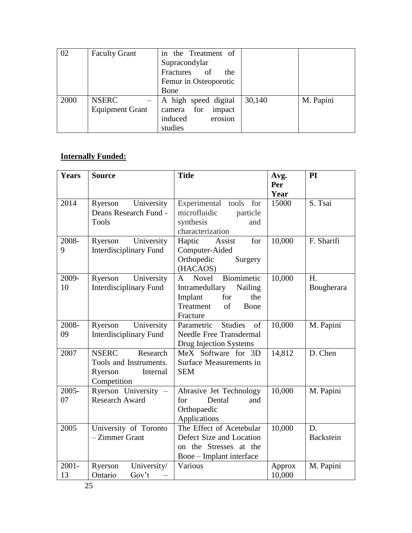| 02   | <b>Faculty Grant</b>   | in the Treatment of   |        |           |
|------|------------------------|-----------------------|--------|-----------|
|      |                        | Supracondylar         |        |           |
|      |                        | Fractures of<br>the   |        |           |
|      |                        | Femur in Osteoporotic |        |           |
|      |                        | Bone                  |        |           |
| 2000 | <b>NSERC</b>           | A high speed digital  | 30,140 | M. Papini |
|      | <b>Equipment Grant</b> | camera for<br>impact  |        |           |
|      |                        | erosion<br>induced    |        |           |
|      |                        | studies               |        |           |

# **Internally Funded:**

| <b>Years</b> | <b>Source</b>                 | <b>Title</b>                        | Avg.   | PI               |
|--------------|-------------------------------|-------------------------------------|--------|------------------|
|              |                               |                                     | Per    |                  |
|              |                               |                                     | Year   |                  |
| 2014         | Ryerson University            | Experimental tools<br>for           | 15000  | S. Tsai          |
|              | Deans Research Fund -         | microfluidic<br>particle            |        |                  |
|              | <b>Tools</b>                  | synthesis<br>and                    |        |                  |
|              |                               | characterization                    |        |                  |
| 2008-        | University<br>Ryerson         | for<br>Haptic<br>Assist             | 10,000 | F. Sharifi       |
| 9            | <b>Interdisciplinary Fund</b> | Computer-Aided                      |        |                  |
|              |                               | Orthopedic<br>Surgery               |        |                  |
|              |                               | (HACAOS)                            |        |                  |
| 2009-        | University<br>Ryerson         | Biomimetic<br>Novel<br>$\mathsf{A}$ | 10,000 | H.               |
| 10           | <b>Interdisciplinary Fund</b> | Nailing<br>Intramedullary           |        | Bougherara       |
|              |                               | Implant<br>the<br>for               |        |                  |
|              |                               | Treatment<br>of<br>Bone             |        |                  |
|              |                               | Fracture                            |        |                  |
| 2008-        | University<br>Ryerson         | <b>Studies</b><br>of<br>Parametric  | 10,000 | M. Papini        |
| 09           | <b>Interdisciplinary Fund</b> | <b>Needle Free Transdermal</b>      |        |                  |
|              |                               | Drug Injection Systems              |        |                  |
| 2007         | <b>NSERC</b><br>Research      | MeX Software for 3D                 | 14,812 | D. Chen          |
|              | Tools and Instruments.        | Surface Measurements in             |        |                  |
|              | Ryerson<br>Internal           | <b>SEM</b>                          |        |                  |
|              | Competition                   |                                     |        |                  |
| 2005-        | Ryerson University -          | Abrasive Jet Technology             | 10,000 | M. Papini        |
| 07           | <b>Research Award</b>         | Dental<br>for<br>and                |        |                  |
|              |                               | Orthopaedic                         |        |                  |
|              |                               | Applications                        |        |                  |
| 2005         | University of Toronto         | The Effect of Acetebular            | 10,000 | D.               |
|              | - Zimmer Grant                | Defect Size and Location            |        | <b>Backstein</b> |
|              |                               | on the Stresses at the              |        |                  |
|              |                               | Bone – Implant interface            |        |                  |
| $2001 -$     | Ryerson<br>University/        | Various                             | Approx | M. Papini        |
| 13           | Ontario<br>Gov't              |                                     | 10,000 |                  |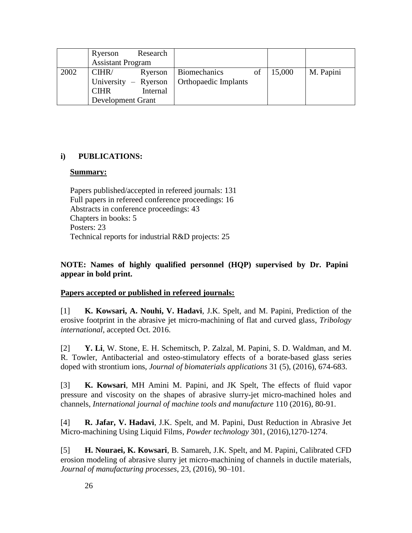|      | Ryerson                  | Research             |                      |    |        |           |
|------|--------------------------|----------------------|----------------------|----|--------|-----------|
|      | <b>Assistant Program</b> |                      |                      |    |        |           |
| 2002 | CIHR/                    | Ryerson              | <b>Biomechanics</b>  | of | 15,000 | M. Papini |
|      |                          | University – Ryerson | Orthopaedic Implants |    |        |           |
|      | <b>CIHR</b>              | Internal             |                      |    |        |           |
|      | Development Grant        |                      |                      |    |        |           |

## **i) PUBLICATIONS:**

### **Summary:**

Papers published/accepted in refereed journals: 131 Full papers in refereed conference proceedings: 16 Abstracts in conference proceedings: 43 Chapters in books: 5 Posters: 23 Technical reports for industrial R&D projects: 25

## **NOTE: Names of highly qualified personnel (HQP) supervised by Dr. Papini appear in bold print.**

## **Papers accepted or published in refereed journals:**

[1] **K. Kowsari, A. Nouhi, V. Hadavi**, J.K. Spelt, and M. Papini, Prediction of the erosive footprint in the abrasive jet micro-machining of flat and curved glass, *Tribology international*, accepted Oct. 2016.

[2] **Y. Li**, W. Stone, E. H. Schemitsch, P. Zalzal, M. Papini, S. D. Waldman, and M. R. Towler, Antibacterial and osteo-stimulatory effects of a borate-based glass series doped with strontium ions, *Journal of biomaterials applications* 31 (5), (2016), 674-683.

[3] **K. Kowsari**, MH Amini M. Papini, and JK Spelt, The effects of fluid vapor pressure and viscosity on the shapes of abrasive slurry-jet micro-machined holes and channels, *International journal of machine tools and manufacture* 110 (2016), 80-91.

[4] **R. Jafar, V. Hadavi**, J.K. Spelt, and M. Papini, Dust Reduction in Abrasive Jet Micro-machining Using Liquid Films, *Powder technology* 301, (2016),1270-1274.

[5] **H. Nouraei, K. Kowsari**, B. Samareh, J.K. Spelt, and M. Papini, Calibrated CFD erosion modeling of abrasive slurry jet micro-machining of channels in ductile materials, *Journal of manufacturing processes*, 23, (2016), 90–101.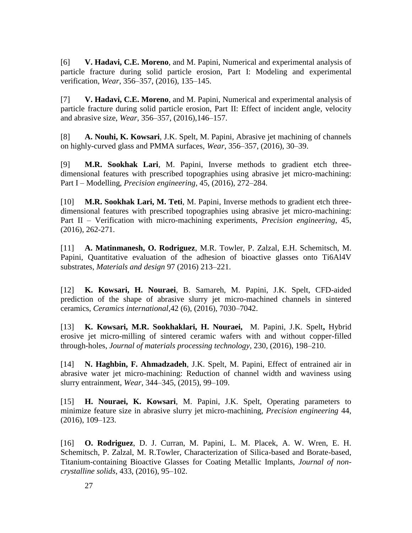[6] **V. Hadavi, C.E. Moreno**, and M. Papini, Numerical and experimental analysis of particle fracture during solid particle erosion, Part I: Modeling and experimental verification, *Wear*, 356–357, (2016), 135–145.

[7] **V. Hadavi, C.E. Moreno**, and M. Papini, Numerical and experimental analysis of particle fracture during solid particle erosion, Part II: Effect of incident angle, velocity and abrasive size, *Wear*, 356–357, (2016),146–157.

[8] **A. Nouhi, K. Kowsari**, J.K. Spelt, M. Papini, Abrasive jet machining of channels on highly-curved glass and PMMA surfaces, *Wear*, 356–357, (2016), 30–39.

[9] **M.R. Sookhak Lari**, M. Papini, Inverse methods to gradient etch threedimensional features with prescribed topographies using abrasive jet micro-machining: Part I – Modelling, *Precision engineering*, 45, (2016), 272–284.

[10] **M.R. Sookhak Lari, M. Teti**, M. Papini, Inverse methods to gradient etch threedimensional features with prescribed topographies using abrasive jet micro-machining: Part II – Verification with micro-machining experiments, *Precision engineering*, 45, (2016), 262-271.

[11] **A. Matinmanesh, O. Rodriguez**, M.R. Towler, P. Zalzal, E.H. Schemitsch, M. Papini, Quantitative evaluation of the adhesion of bioactive glasses onto Ti6Al4V substrates, *Materials and design* 97 (2016) 213–221.

[12] **K. Kowsari, H. Nouraei**, B. Samareh, M. Papini, J.K. Spelt, CFD-aided prediction of the shape of abrasive slurry jet micro-machined channels in sintered ceramics, *Ceramics international*,42 (6), (2016), 7030–7042.

[13] **K. Kowsari, M.R. Sookhaklari, H. Nouraei,** M. Papini, J.K. Spelt**,** Hybrid erosive jet micro-milling of sintered ceramic wafers with and without copper-filled through-holes, *Journal of materials processing technology*, 230, (2016), 198–210.

[14] **N. Haghbin, F. Ahmadzadeh**, J.K. Spelt, M. Papini, Effect of entrained air in abrasive water jet micro-machining: Reduction of channel width and waviness using slurry entrainment, *Wear,* 344–345, (2015), 99–109.

[15] **H. Nouraei, K. Kowsari**, M. Papini, J.K. Spelt, Operating parameters to minimize feature size in abrasive slurry jet micro-machining, *Precision engineering* 44, (2016), 109–123.

[16] **O. Rodriguez**, D. J. Curran, M. Papini, L. M. Placek, A. W. Wren, E. H. Schemitsch, P. Zalzal, M. R.Towler, Characterization of Silica-based and Borate-based, Titanium-containing Bioactive Glasses for Coating Metallic Implants, *Journal of noncrystalline solids*, 433, (2016), 95–102.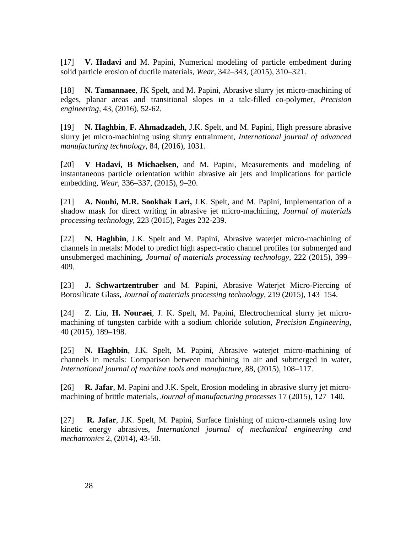[17] **V. Hadavi** and M. Papini, Numerical modeling of particle embedment during solid particle erosion of ductile materials, *Wear*, 342–343, (2015), 310–321.

[18] **N. Tamannaee**, JK Spelt, and M. Papini, Abrasive slurry jet micro-machining of edges, planar areas and transitional slopes in a talc-filled co-polymer, *Precision engineering*, 43, (2016), 52-62.

[19] **N. Haghbin**, **F. Ahmadzadeh**, J.K. Spelt, and M. Papini, High pressure abrasive slurry jet micro-machining using slurry entrainment, *International journal of advanced manufacturing technology*, 84, (2016), 1031.

[20] **V Hadavi, B Michaelsen**, and M. Papini, Measurements and modeling of instantaneous particle orientation within abrasive air jets and implications for particle embedding, *Wear*, 336–337, (2015), 9–20.

[21] **A. Nouhi, M.R. Sookhak Lari,** J.K. Spelt, and M. Papini, Implementation of a shadow mask for direct writing in abrasive jet micro-machining, *Journal of materials processing technology*, 223 (2015), Pages 232-239.

[22] **N. Haghbin**, J.K. Spelt and M. Papini, Abrasive waterjet micro-machining of channels in metals: Model to predict high aspect-ratio channel profiles for submerged and unsubmerged machining, *Journal of materials processing technology*, 222 (2015), 399– 409.

[23] **J. Schwartzentruber** and M. Papini, Abrasive Waterjet Micro-Piercing of Borosilicate Glass, *Journal of materials processing technology*, 219 (2015), 143–154.

[24] Z. Liu, **H. Nouraei**, J. K. Spelt, M. Papini, Electrochemical slurry jet micromachining of tungsten carbide with a sodium chloride solution, *Precision Engineering*, 40 (2015), 189–198.

[25] **N. Haghbin**, J.K. Spelt, M. Papini, Abrasive waterjet micro-machining of channels in metals: Comparison between machining in air and submerged in water, *International journal of machine tools and manufacture*, 88, (2015), 108–117.

[26] **R. Jafar**, M. Papini and J.K. Spelt, Erosion modeling in abrasive slurry jet micromachining of brittle materials, *Journal of manufacturing processes* 17 (2015), 127–140.

[27] **R. Jafar**, J.K. Spelt, M. Papini, Surface finishing of micro-channels using low kinetic energy abrasives, *International journal of mechanical engineering and mechatronics* 2, (2014), 43-50.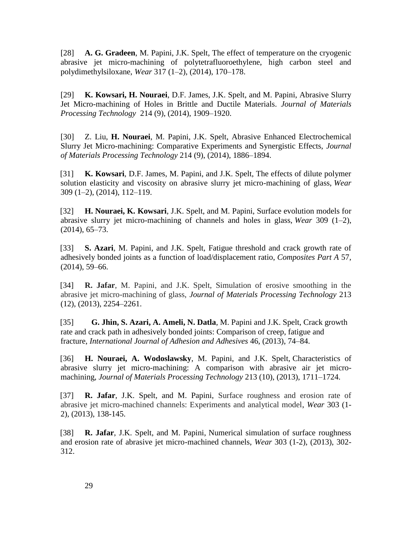[28] **A. G. Gradeen**, M. Papini, J.K. Spelt, The effect of temperature on the cryogenic abrasive jet micro-machining of polytetrafluoroethylene, high carbon steel and polydimethylsiloxane, *Wear* 317 (1–2), (2014), 170–178.

[29] **K. Kowsari, H. Nouraei**, D.F. James, J.K. Spelt, and M. Papini, Abrasive Slurry Jet Micro-machining of Holes in Brittle and Ductile Materials. *Journal of Materials Processing Technology* 214 (9), (2014), 1909–1920.

[30] Z. Liu, **H. Nouraei**, M. Papini, J.K. Spelt, Abrasive Enhanced Electrochemical Slurry Jet Micro-machining: Comparative Experiments and Synergistic Effects, *Journal of Materials Processing Technology* 214 (9), (2014), 1886–1894.

[31] **K. Kowsari**, D.F. James, M. Papini, and J.K. Spelt, The effects of dilute polymer solution elasticity and viscosity on abrasive slurry jet micro-machining of glass, *Wear* 309 (1–2), (2014), 112–119.

[32] **H. Nouraei, K. Kowsari**, J.K. Spelt, and M. Papini, Surface evolution models for abrasive slurry jet micro-machining of channels and holes in glass, *Wear* 309 (1–2), (2014), 65–73.

[33] **S. Azari**, M. Papini, and J.K. Spelt, Fatigue threshold and crack growth rate of adhesively bonded joints as a function of load/displacement ratio, *Composites Part A* 57, (2014), 59–66.

[34] **R. Jafar**, M. Papini, and J.K. Spelt, Simulation of erosive smoothing in the abrasive jet micro-machining of glass, *Journal of Materials Processing Technology* 213 (12), (2013), 2254–2261.

[35] **G. Jhin, S. Azari, A. Ameli, N. Datla**, M. Papini and J.K. Spelt, Crack growth rate and crack path in adhesively bonded joints: Comparison of creep, fatigue and fracture, *International Journal of Adhesion and Adhesives* [46,](http://www.sciencedirect.com/science/journal/01437496/46/supp/C) (2013), 74–84.

[36] **H. Nouraei, A. Wodoslawsky**, M. Papini, and J.K. Spelt, Characteristics of abrasive slurry jet micro-machining: A comparison with abrasive air jet micromachining, *Journal of Materials Processing Technology* 213 (10), (2013), 1711–1724.

[37] **R. Jafar**, J.K. Spelt, and M. Papini, Surface roughness and erosion rate of abrasive jet micro-machined channels: Experiments and analytical model, *Wear* 303 (1- 2), (2013), 138-145.

[38] **R. Jafar**, J.K. Spelt, and M. Papini, Numerical simulation of surface roughness and erosion rate of abrasive jet micro-machined channels, *Wear* 303 (1-2), (2013), 302- 312.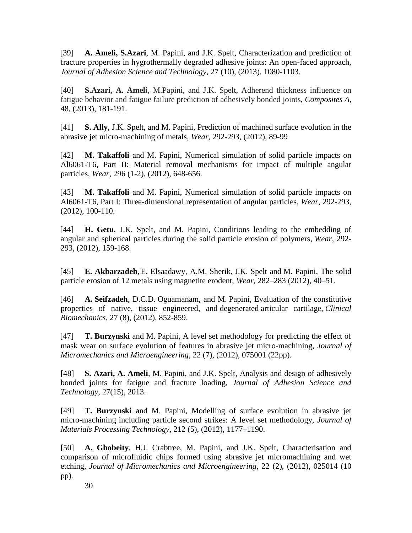[39] **A. Ameli, S.Azari**, M. Papini, and J.K. Spelt, Characterization and prediction of fracture properties in hygrothermally degraded adhesive joints: An open-faced approach, *Journal of Adhesion Science and Technology*, 27 (10), (2013), 1080-1103.

[40] **S.Azari, A. Ameli**, M.Papini, and J.K. Spelt, Adherend thickness influence on fatigue behavior and fatigue failure prediction of adhesively bonded joints, *Composites A*, 48, (2013), 181-191.

[41] **S. Ally**, J.K. Spelt, and M. Papini, Prediction of machined surface evolution in the abrasive jet micro-machining of metals, *Wear*, 292-293, (2012), 89-99.

[42] **M. Takaffoli** and M. Papini, Numerical simulation of solid particle impacts on Al6061-T6, Part II: Material removal mechanisms for impact of multiple angular particles, *Wear*, 296 (1-2), (2012), 648-656.

[43] **M. Takaffoli** and M. Papini, Numerical simulation of solid particle impacts on Al6061-T6, Part I: Three-dimensional representation of angular particles, *Wear*, 292-293, (2012), 100-110.

[44] **H. Getu**, J.K. Spelt, and M. Papini, Conditions leading to the embedding of angular and spherical particles during the solid particle erosion of polymers, *Wear*, 292- 293, (2012), 159-168.

[45] **E. Akbarzadeh**, E. Elsaadawy, A.M. Sherik, J.K. Spelt and M. Papini, The solid particle erosion of 12 metals using magnetite erodent, *Wear*, 282–283 (2012), 40–51.

[46] **A. Seifzadeh**, D.C.D. Oguamanam, and M. Papini, Evaluation of the constitutive properties of native, tissue engineered, and degenerated articular cartilage, *Clinical Biomechanics*, 27 (8), (2012), 852-859.

[47] **T. Burzynski** and M. Papini, A level set methodology for predicting the effect of mask wear on surface evolution of features in abrasive jet micro-machining, *Journal of Micromechanics and Microengineering,* 22 (7), (2012), 075001 (22pp).

[48] **S. Azari, A. Ameli**, M. Papini, and J.K. Spelt, Analysis and design of adhesively bonded joints for fatigue and fracture loading, *Journal of Adhesion Science and Technology*, 27(15), 2013.

[49] **T. Burzynski** and M. Papini, Modelling of surface evolution in abrasive jet micro-machining including particle second strikes: A level set methodology, *Journal of Materials Processing Technology,* [212](http://www.sciencedirect.com/science/journal/09240136/212/5) (5), (2012), 1177–1190.

[50] **A. Ghobeity**, H.J. Crabtree, M. Papini, and J.K. Spelt, Characterisation and comparison of microfluidic chips formed using abrasive jet micromachining and wet etching, *Journal of Micromechanics and Microengineering,* 22 (2), (2012), 025014 (10 pp).

30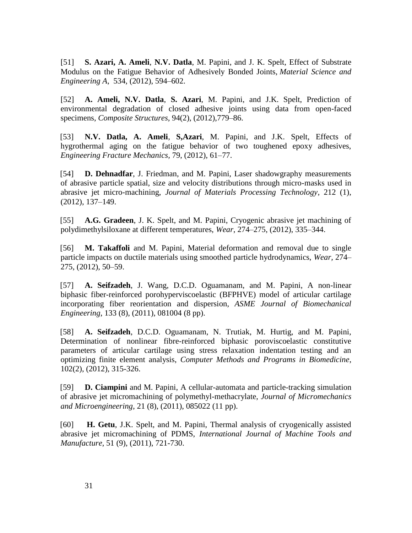[51] **S. Azari, A. Ameli**, **N.V. Datla**, M. Papini, and J. K. Spelt, Effect of Substrate Modulus on the Fatigue Behavior of Adhesively Bonded Joints, *Material Science and Engineering A*, [534,](http://www.sciencedirect.com/science/journal/09215093/534) (2012), 594–602.

[52] **A. Ameli, N.V. Datla**, **S. Azari**, M. Papini, and J.K. Spelt, Prediction of environmental degradation of closed adhesive joints using data from open-faced specimens, *Composite Structures,* [94\(2\)](http://www.sciencedirect.com/science/journal/02638223/94/2), (2012),779–86.

[53] **N.V. Datla, A. Ameli**, **S,Azari**, M. Papini, and J.K. Spelt, Effects of hygrothermal aging on the fatigue behavior of two toughened epoxy adhesives, *Engineering Fracture Mechanics,* 79, (2012), 61–77.

[54] **D. Dehnadfar**, J. Friedman, and M. Papini, Laser shadowgraphy measurements of abrasive particle spatial, size and velocity distributions through micro-masks used in abrasive jet micro-machining, *Journal of Materials Processing Technology*, 212 (1), (2012), 137–149.

[55] **A.G. Gradeen**, J. K. Spelt, and M. Papini, Cryogenic abrasive jet machining of polydimethylsiloxane at different temperatures, *Wear*, 274–275, (2012), 335–344.

[56] **M. Takaffoli** and M. Papini, Material deformation and removal due to single particle impacts on ductile materials using smoothed particle hydrodynamics, *Wear,* 274– 275, (2012), 50–59.

[57] **A. Seifzadeh**, J. Wang, D.C.D. Oguamanam, and M. Papini, A non-linear biphasic fiber-reinforced porohyperviscoelastic (BFPHVE) model of articular cartilage incorporating fiber reorientation and dispersion, *ASME Journal of Biomechanical Engineering*, 133 (8), (2011), 081004 (8 pp).

[58] **A. Seifzadeh**, D.C.D. Oguamanam, N. Trutiak, M. Hurtig, and M. Papini, Determination of nonlinear fibre-reinforced biphasic poroviscoelastic constitutive parameters of articular cartilage using stress relaxation indentation testing and an optimizing finite element analysis, *Computer Methods and Programs in Biomedicine*, 102(2), (2012), 315-326.

[59] **D. Ciampini** and M. Papini, A cellular-automata and particle-tracking simulation of abrasive jet micromachining of polymethyl-methacrylate, *Journal of Micromechanics and Microengineering*, 21 (8), (2011), 085022 (11 pp).

[60] **H. Getu**, J.K. Spelt, and M. Papini, Thermal analysis of cryogenically assisted abrasive jet micromachining of PDMS, *International Journal of Machine Tools and Manufacture*, 51 (9), (2011), 721-730.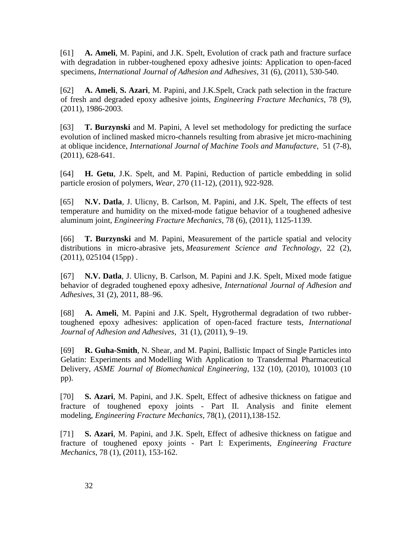[61] **A. Ameli**, M. Papini, and J.K. Spelt, Evolution of crack path and fracture surface with degradation in rubber-toughened epoxy adhesive joints: Application to open-faced specimens, *International Journal of Adhesion and Adhesives*, 31 (6), (2011), 530-540.

[62] **A. Ameli**, **S. Azari**, M. Papini, and J.K.Spelt, Crack path selection in the fracture of fresh and degraded epoxy adhesive joints, *Engineering Fracture Mechanics*, 78 (9), (2011), 1986-2003.

[63] **T. Burzynski** and M. Papini, A level set methodology for predicting the surface evolution of inclined masked micro-channels resulting from abrasive jet micro-machining at oblique incidence, *International Journal of Machine Tools and Manufacture*, 51 (7-8), (2011), 628-641.

[64] **H. Getu**, J.K. Spelt, and M. Papini, Reduction of particle embedding in solid particle erosion of polymers, *Wear*, 270 (11-12), (2011), 922-928.

[65] **N.V. Datla**, J. Ulicny, B. Carlson, M. Papini, and J.K. Spelt, The effects of test temperature and humidity on the mixed-mode fatigue behavior of a toughened adhesive aluminum joint, *Engineering Fracture Mechanics,* 78 (6), (2011), 1125-1139.

[66] **T. Burzynski** and M. Papini, Measurement of the particle spatial and velocity distributions in micro-abrasive jets, *Measurement Science and Technology*, 22 (2),  $(2011), 025104 (15pp)$ .

[67] **N.V. Datla**, J. Ulicny, B. Carlson, M. Papini and J.K. Spelt, Mixed mode fatigue behavior of degraded toughened epoxy adhesive, *International Journal of Adhesion and Adhesives*, 31 (2), 2011, 88–96.

[68] **A. Ameli**, M. Papini and J.K. Spelt, Hygrothermal degradation of two rubbertoughened epoxy adhesives: application of open-faced fracture tests, *International Journal of Adhesion and Adhesives*, [31](http://www.sciencedirect.com/science/journal/01437496/31/1) (1), (2011), 9–19.

[69] **R. Guha-Smith**, N. Shear, and M. Papini, Ballistic Impact of Single Particles into Gelatin: Experiments and Modelling With Application to Transdermal Pharmaceutical Delivery, *ASME Journal of Biomechanical Engineering*, 132 (10), (2010), 101003 (10 pp).

[70] **S. Azari**, M. Papini, and J.K. Spelt, Effect of adhesive thickness on fatigue and fracture of toughened epoxy joints - Part II. Analysis and finite element modeling, *Engineering Fracture Mechanics*, 78(1), (2011),138-152.

[71] **S. Azari**, M. Papini, and J.K. Spelt, Effect of adhesive thickness on fatigue and fracture of toughened epoxy joints - Part I: Experiments, *Engineering Fracture Mechanics*, 78 (1), (2011), 153-162.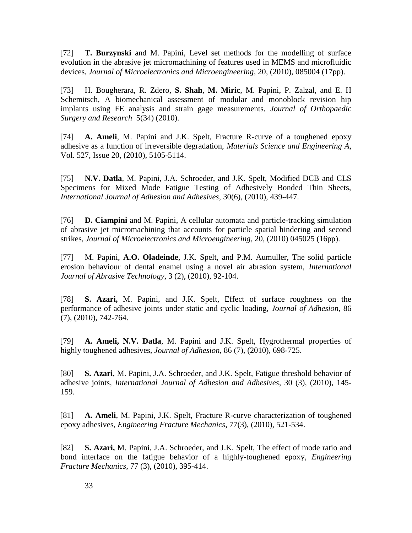[72] **T. Burzynski** and M. Papini, Level set methods for the modelling of surface evolution in the abrasive jet micromachining of features used in MEMS and microfluidic devices, *Journal of Microelectronics and Microengineering,* 20, (2010), 085004 (17pp).

[73] H. Bougherara, R. Zdero, **S. Shah**, **M. Miric**, M. Papini, P. Zalzal, and E. H Schemitsch, A biomechanical assessment of modular and monoblock revision hip implants using FE analysis and strain gage measurements, *Journal of Orthopaedic Surgery and Research* 5(34) (2010).

[74] **A. Ameli**, M. Papini and J.K. Spelt, Fracture R-curve of a toughened epoxy adhesive as a function of irreversible degradation, *Materials Science and Engineering A*, Vol. [527, Issue 20,](http://www.sciencedirect.com/science?_ob=PublicationURL&_tockey=%23TOC%235588%232010%23994729979%232154735%23FLA%23&_cdi=5588&_pubType=J&view=c&_auth=y&_acct=C000051244&_version=1&_urlVersion=0&_userid=1067369&md5=3fec680bb16d86112147544a90969d92) (2010), 5105-5114.

[75] **N.V. Datla**, M. Papini, J.A. Schroeder, and J.K. Spelt, Modified DCB and CLS Specimens for Mixed Mode Fatigue Testing of Adhesively Bonded Thin Sheets, *International Journal of Adhesion and Adhesives*, 30(6), (2010), 439-447.

[76] **D. Ciampini** and M. Papini, A cellular automata and particle-tracking simulation of abrasive jet micromachining that accounts for particle spatial hindering and second strikes, *Journal of Microelectronics and Microengineering*, 20, (2010) 045025 (16pp).

[77] M. Papini, **A.O. Oladeinde**, J.K. Spelt, and P.M. Aumuller, The solid particle erosion behaviour of dental enamel using a novel air abrasion system, *International Journal of Abrasive Technology*, 3 (2), (2010), 92-104.

[78] **S. Azari,** M. Papini, and J.K. Spelt, Effect of surface roughness on the performance of adhesive joints under static and cyclic loading, *Journal of Adhesion*, 86 (7[\),](http://www.informaworld.com/smpp/771301310-88600743/title~db=all~content=g925556273) (2010), 742-764.

[79] **A. Ameli, N.V. Datla**, M. Papini and J.K. Spelt, Hygrothermal properties of highly toughened adhesives, *Journal of Adhesion*, 86 (7), (2010), 698-725.

[80] **S. Azari**, M. Papini, J.A. Schroeder, and J.K. Spelt, Fatigue threshold behavior of adhesive joints, *International Journal of Adhesion and Adhesives*, 30 (3), (2010), 145- 159.

[81] **A. Ameli**, M. Papini, J.K. Spelt, Fracture R-curve characterization of toughened epoxy adhesives, *Engineering Fracture Mechanics*, 77(3), (2010), 521-534.

[82] **S. Azari,** M. Papini, J.A. Schroeder, and J.K. Spelt, The effect of mode ratio and bond interface on the fatigue behavior of a highly-toughened epoxy, *Engineering Fracture Mechanics*, 77 (3), (2010), 395-414.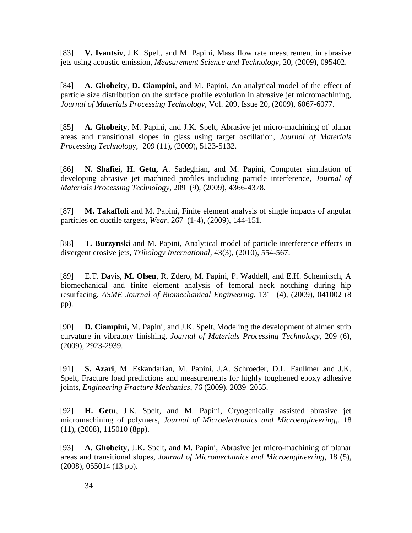[83] **V. Ivantsiv**, J.K. Spelt, and M. Papini, Mass flow rate measurement in abrasive jets using acoustic emission, *Measurement Science and Technology*, 20, (2009), 095402.

[84] **A. Ghobeity**, **D. Ciampini**, and M. Papini, An analytical model of the effect of particle size distribution on the surface profile evolution in abrasive jet micromachining, *Journal of Materials Processing Technology*, Vol. 209, Issue 20, (2009), 6067-6077.

[85] **A. Ghobeity**, M. Papini, and J.K. Spelt, Abrasive jet micro-machining of planar areas and transitional slopes in glass using target oscillation, *Journal of Materials Processing Technology*, 209 (11), (2009), 5123-5132.

[86] **N. Shafiei, H. Getu,** A. Sadeghian, and M. Papini, Computer simulation of developing abrasive jet machined profiles including particle interference, *Journal of Materials Processing Technology*, 209 (9), (2009), 4366-4378.

[87] **M. Takaffoli** and M. Papini, Finite element analysis of single impacts of angular particles on ductile targets, *Wear*, 267 (1-4), (2009), 144-151.

[88] **T. Burzynski** and M. Papini, Analytical model of particle interference effects in divergent erosive jets, *Tribology International,* 43(3), (2010), 554-567.

[89] E.T. Davis, **M. Olsen**, R. Zdero, M. Papini, P. Waddell, and E.H. Schemitsch, A biomechanical and finite element analysis of femoral neck notching during hip resurfacing, *ASME Journal of Biomechanical Engineering*, 131 (4), (2009), 041002 (8 pp).

[90] **D. Ciampini,** M. Papini, and J.K. Spelt, Modeling the development of almen strip curvature in vibratory finishing, *Journal of Materials Processing Technology*, [209 \(6\)](http://www.sciencedirect.com/science?_ob=PublicationURL&_tockey=%23TOC%235256%232009%23997909993%23957064%23FLA%23&_cdi=5256&_pubType=J&view=c&_auth=y&_acct=C000051244&_version=1&_urlVersion=0&_userid=1067369&md5=b03366cde8a06f918c4d173ffe24ac73), (2009), 2923-2939.

[91] **S. Azari**, M. Eskandarian, M. Papini, J.A. Schroeder, D.L. Faulkner and J.K. Spelt, Fracture load predictions and measurements for highly toughened epoxy adhesive joints, *Engineering Fracture Mechanics*, 76 (2009), 2039–2055.

[92] **H. Getu**, J.K. Spelt, and M. Papini, Cryogenically assisted abrasive jet micromachining of polymers, *Journal of Microelectronics and Microengineering*,*.* 18 (11), (2008), 115010 (8pp).

[93] **A. Ghobeity**, J.K. Spelt, and M. Papini, Abrasive jet micro-machining of planar areas and transitional slopes, *Journal of Micromechanics and Microengineering,* 18 (5), (2008), 055014 (13 pp).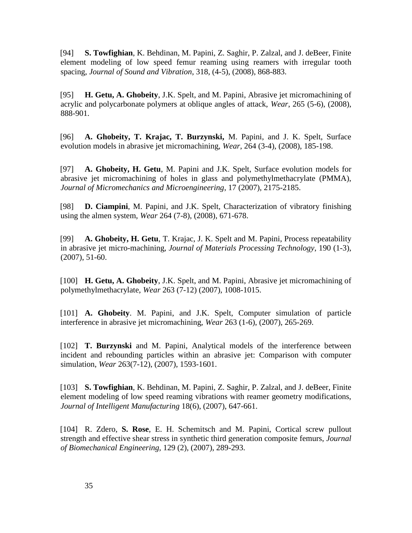[94] **S. Towfighian**, K. Behdinan, M. Papini, Z. Saghir, P. Zalzal, and J. deBeer, Finite element modeling of low speed femur reaming using reamers with irregular tooth spacing, *Journal of Sound and Vibration*, 318, (4-5), (2008), 868-883.

[95] **H. Getu, A. Ghobeity**, J.K. Spelt, and M. Papini, Abrasive jet micromachining of acrylic and polycarbonate polymers at oblique angles of attack, *Wear*, [265 \(5-6\)](http://www.sciencedirect.com/science?_ob=PublicationURL&_tockey=%23TOC%235782%232008%23997349994%23689892%23FLA%23&_cdi=5782&_pubType=J&view=c&_auth=y&_acct=C000051244&_version=1&_urlVersion=0&_userid=1067369&md5=2cbf05ae24f2c7d4a265803deb7492a5), (2008), 888-901.

[96] **A. Ghobeity, T. Krajac, T. Burzynski,** M. Papini, and J. K. Spelt, Surface evolution models in abrasive jet micromachining, *Wear*, 264 (3-4), (2008), 185-198.

[97] **A. Ghobeity, H. Getu**, M. Papini and J.K. Spelt, Surface evolution models for abrasive jet micromachining of holes in glass and polymethylmethacrylate (PMMA), *Journal of Micromechanics and Microengineering*, 17 (2007), 2175-2185.

[98] **D. Ciampini**, M. Papini, and J.K. Spelt, Characterization of vibratory finishing using the almen system, *Wear* 264 (7-8), (2008), 671-678.

[99] **A. Ghobeity, H. Getu**, T. Krajac, J. K. Spelt and M. Papini, Process repeatability in abrasive jet micro-machining, *Journal of Materials Processing Technology*, 190 (1-3), (2007), 51-60.

[100] **H. Getu, A. Ghobeity**, J.K. Spelt, and M. Papini, Abrasive jet micromachining of polymethylmethacrylate, *Wear* 263 (7-12) (2007), 1008-1015.

[101] **A. Ghobeity**. M. Papini, and J.K. Spelt, Computer simulation of particle interference in abrasive jet micromachining, *Wear* 263 (1-6), (2007), 265-269.

[102] **T. Burzynski** and M. Papini, Analytical models of the interference between incident and rebounding particles within an abrasive jet: Comparison with computer simulation, *Wear* 263(7-12), (2007), 1593-1601.

[103] **S. Towfighian**, K. Behdinan, M. Papini, Z. Saghir, P. Zalzal, and J. deBeer, Finite element modeling of low speed reaming vibrations with reamer geometry modifications, *Journal of Intelligent Manufacturing* 18(6), (2007), 647-661.

[104] R. Zdero, **S. Rose**, E. H. Schemitsch and M. Papini, Cortical screw pullout strength and effective shear stress in synthetic third generation composite femurs, *Journal of Biomechanical Engineering,* 129 (2), (2007), 289-293.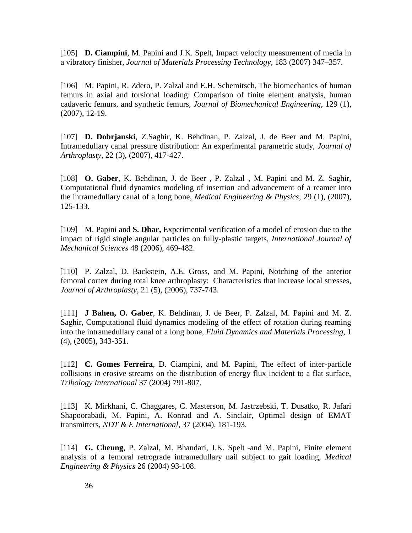[105] **D. Ciampini**, M. Papini and J.K. Spelt, Impact velocity measurement of media in a vibratory finisher, *Journal of Materials Processing Technology,* 183 (2007) 347–357.

[106] M. Papini, R. Zdero, P. Zalzal and E.H. Schemitsch, The biomechanics of human femurs in axial and torsional loading: Comparison of finite element analysis, human cadaveric femurs, and synthetic femurs, *Journal of Biomechanical Engineering*, 129 (1), (2007), 12-19.

[107] **D. Dobrjanski**, Z.Saghir, K. Behdinan, P. Zalzal, J. de Beer and M. Papini, Intramedullary canal pressure distribution: An experimental parametric study, *Journal of Arthroplasty*, 22 (3), (2007), 417-427.

[108] **O. Gaber**, K. Behdinan, J. de Beer , P. Zalzal , M. Papini and M. Z. Saghir, Computational fluid dynamics modeling of insertion and advancement of a reamer into the intramedullary canal of a long bone, *Medical Engineering & Physics*, 29 (1), (2007), 125-133.

[109] M. Papini and **S. Dhar,** Experimental verification of a model of erosion due to the impact of rigid single angular particles on fully-plastic targets, *International Journal of Mechanical Sciences* 48 (2006), 469-482.

[110] P. Zalzal, D. Backstein, A.E. Gross, and M. Papini, Notching of the anterior femoral cortex during total knee arthroplasty: Characteristics that increase local stresses, *Journal of Arthroplasty*, 21 (5), (2006), 737-743.

[111] **J Bahen, O. Gaber**, K. Behdinan, J. de Beer, P. Zalzal, M. Papini and M. Z. Saghir, Computational fluid dynamics modeling of the effect of rotation during reaming into the intramedullary canal of a long bone, *Fluid Dynamics and Materials Processing*, 1 (4), (2005), 343-351.

[112] **C. Gomes Ferreira**, D. Ciampini, and M. Papini, The effect of inter-particle collisions in erosive streams on the distribution of energy flux incident to a flat surface, *Tribology International* 37 (2004) 791-807.

[113] K. Mirkhani, C. Chaggares, C. Masterson, M. Jastrzebski, T. Dusatko, R. Jafari Shapoorabadi, M. Papini, A. Konrad and A. Sinclair, Optimal design of EMAT transmitters, *NDT & E International*, 37 (2004), 181-193.

[114] **G. Cheung**, P. Zalzal, M. Bhandari, J.K. Spelt -and M. Papini, Finite element analysis of a femoral retrograde intramedullary nail subject to gait loading, *Medical Engineering & Physics* 26 (2004) 93-108.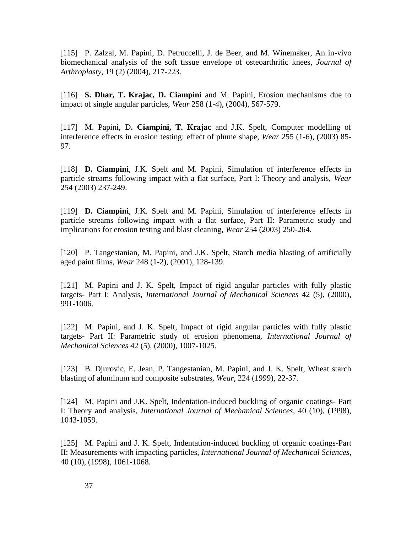[115] P. Zalzal, M. Papini, D. Petruccelli, J. de Beer, and M. Winemaker, An in-vivo biomechanical analysis of the soft tissue envelope of osteoarthritic knees, *Journal of Arthroplasty*, 19 (2) (2004), 217-223.

[116] **S. Dhar, T. Krajac, D. Ciampini** and M. Papini, Erosion mechanisms due to impact of single angular particles, *Wear* 258 (1-4), (2004), 567-579.

[117] M. Papini, D**. Ciampini, T. Krajac** and J.K. Spelt, Computer modelling of interference effects in erosion testing: effect of plume shape, *Wear* 255 (1-6), (2003) 85- 97.

[118] **D. Ciampini**, J.K. Spelt and M. Papini, Simulation of interference effects in particle streams following impact with a flat surface, Part I: Theory and analysis, *Wear* 254 (2003) 237-249.

[119] **D. Ciampini**, J.K. Spelt and M. Papini, Simulation of interference effects in particle streams following impact with a flat surface, Part II: Parametric study and implications for erosion testing and blast cleaning, *Wear* 254 (2003) 250-264.

[120] P. Tangestanian, M. Papini, and J.K. Spelt, Starch media blasting of artificially aged paint films, *Wear* 248 (1-2), (2001), 128-139.

[121] M. Papini and J. K. Spelt, Impact of rigid angular particles with fully plastic targets- Part I: Analysis, *International Journal of Mechanical Sciences* 42 (5), (2000), 991-1006.

[122] M. Papini, and J. K. Spelt, Impact of rigid angular particles with fully plastic targets- Part II: Parametric study of erosion phenomena, *International Journal of Mechanical Sciences* 42 (5), (2000), 1007-1025.

[123] B. Djurovic, E. Jean, P. Tangestanian, M. Papini, and J. K. Spelt, Wheat starch blasting of aluminum and composite substrates, *Wear*, 224 (1999), 22-37.

[124] M. Papini and J.K. Spelt, Indentation-induced buckling of organic coatings- Part I: Theory and analysis, *International Journal of Mechanical Sciences*, 40 (10), (1998), 1043-1059.

[125] M. Papini and J. K. Spelt, Indentation-induced buckling of organic coatings-Part II: Measurements with impacting particles, *International Journal of Mechanical Sciences*, 40 (10), (1998), 1061-1068.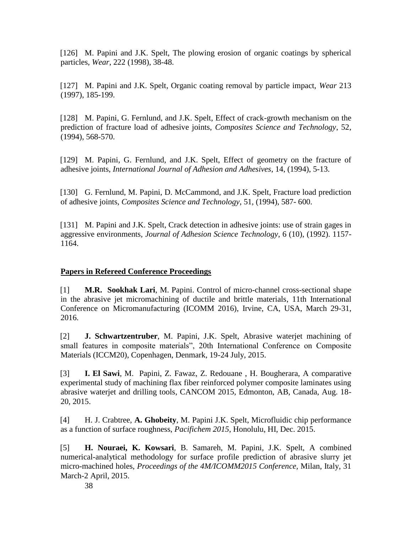[126] M. Papini and J.K. Spelt, The plowing erosion of organic coatings by spherical particles, *Wear*, 222 (1998), 38-48.

[127] M. Papini and J.K. Spelt, Organic coating removal by particle impact, *Wear* 213 (1997), 185-199.

[128] M. Papini, G. Fernlund, and J.K. Spelt, Effect of crack-growth mechanism on the prediction of fracture load of adhesive joints, *Composites Science and Technology*, 52, (1994), 568-570.

[129] M. Papini, G. Fernlund, and J.K. Spelt, Effect of geometry on the fracture of adhesive joints, *International Journal of Adhesion and Adhesives*, 14, (1994), 5-13.

[130] G. Fernlund, M. Papini, D. McCammond, and J.K. Spelt, Fracture load prediction of adhesive joints, *Composites Science and Technology*, 51, (1994), 587- 600.

[131] M. Papini and J.K. Spelt, Crack detection in adhesive joints: use of strain gages in aggressive environments, *Journal of Adhesion Science Technology*, 6 (10), (1992). 1157- 1164.

# **Papers in Refereed Conference Proceedings**

[1] **M.R. Sookhak Lari**, M. Papini. Control of micro-channel cross-sectional shape in the abrasive jet micromachining of ductile and brittle materials, 11th International Conference on Micromanufacturing (ICOMM 2016), Irvine, CA, USA, March 29-31, 2016.

[2] **J. Schwartzentruber**, M. Papini, J.K. Spelt, Abrasive waterjet machining of small features in composite materials", 20th International Conference on Composite Materials (ICCM20), Copenhagen, Denmark, 19-24 July, 2015.

[3] **I. El Sawi**, M. Papini, Z. Fawaz, Z. Redouane , H. Bougherara, A comparative experimental study of machining flax fiber reinforced polymer composite laminates using abrasive waterjet and drilling tools, CANCOM 2015, Edmonton, AB, Canada, Aug. 18- 20, 2015.

[4] H. J. Crabtree, **A. Ghobeity**, M. Papini J.K. Spelt, Microfluidic chip performance as a function of surface roughness, *Pacifichem 2015*, Honolulu, HI, Dec. 2015.

[5] **H. Nouraei, K. Kowsari**, B. Samareh, M. Papini, J.K. Spelt, A combined numerical-analytical methodology for surface profile prediction of abrasive slurry jet micro-machined holes, *Proceedings of the 4M/ICOMM2015 Conference,* Milan, Italy, 31 March-2 April, 2015.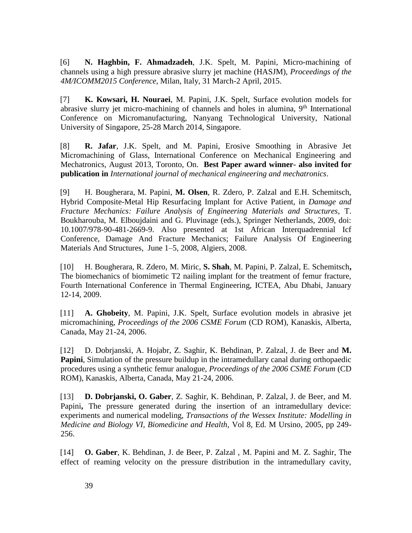[6] **N. Haghbin, F. Ahmadzadeh**, J.K. Spelt, M. Papini, Micro-machining of channels using a high pressure abrasive slurry jet machine (HASJM), *Proceedings of the 4M/ICOMM2015 Conference*, Milan, Italy, 31 March-2 April, 2015.

[7] **K. Kowsari, H. Nouraei**, M. Papini, J.K. Spelt, Surface evolution models for abrasive slurry jet micro-machining of channels and holes in alumina,  $9<sup>th</sup>$  International Conference on Micromanufacturing, Nanyang Technological University, National University of Singapore, 25-28 March 2014, Singapore.

[8] **R. Jafar**, J.K. Spelt, and M. Papini, Erosive Smoothing in Abrasive Jet Micromachining of Glass, International Conference on Mechanical Engineering and Mechatronics, August 2013, Toronto, On. **Best Paper award winner- also invited for publication in** *International journal of mechanical engineering and mechatronics*.

[9] H. Bougherara, M. Papini, **M. Olsen**, R. Zdero, P. Zalzal and E.H. Schemitsch, Hybrid Composite-Metal Hip Resurfacing Implant for Active Patient, in *Damage and Fracture Mechanics: Failure Analysis of Engineering Materials and Structures*, T. Boukharouba, M. Elboujdaini and G. Pluvinage (eds.), Springer Netherlands, 2009, doi: 10.1007/978-90-481-2669-9. Also presented at 1st African Interquadrennial Icf Conference, Damage And Fracture Mechanics; Failure Analysis Of Engineering Materials And Structures, June 1–5, 2008, Algiers, 2008.

[10] H. Bougherara, R. Zdero, M. Miric, **S. Shah**, M. Papini, P. Zalzal, E. Schemitsch**,**  The biomechanics of biomimetic T2 nailing implant for the treatment of femur fracture, Fourth International Conference in Thermal Engineering, ICTEA, Abu Dhabi, January 12-14, 2009.

[11] **A. Ghobeity**, M. Papini, J.K. Spelt, Surface evolution models in abrasive jet micromachining, *Proceedings of the 2006 CSME Forum* (CD ROM), Kanaskis, Alberta, Canada, May 21-24, 2006.

[12] D. Dobrjanski, A. Hojabr, Z. Saghir, K. Behdinan, P. Zalzal, J. de Beer and **M. Papini**, Simulation of the pressure buildup in the intramedullary canal during orthopaedic procedures using a synthetic femur analogue, *Proceedings of the 2006 CSME Forum* (CD ROM), Kanaskis, Alberta, Canada, May 21-24, 2006.

[13] **D. Dobrjanski, O. Gaber**, Z. Saghir, K. Behdinan, P. Zalzal, J. de Beer, and M. Papini, The pressure generated during the insertion of an intramedullary device: experiments and numerical modeling, *Transactions of the Wessex Institute: Modelling in Medicine and Biology VI, Biomedicine and Health,* Vol 8, Ed. M Ursino, 2005, pp 249- 256.

[14] **O. Gaber**, K. Behdinan, J. de Beer, P. Zalzal , M. Papini and M. Z. Saghir, The effect of reaming velocity on the pressure distribution in the intramedullary cavity,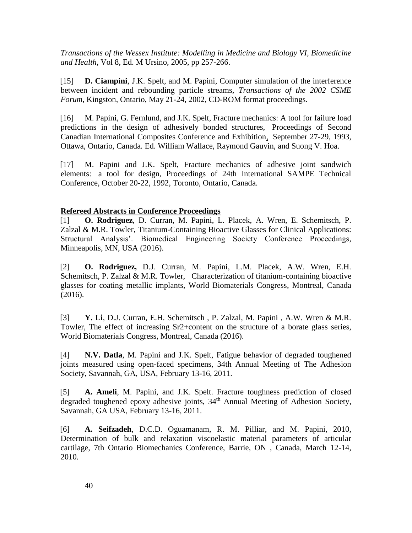*Transactions of the Wessex Institute: Modelling in Medicine and Biology VI, Biomedicine and Health,* Vol 8, Ed. M Ursino, 2005, pp 257-266.

[15] **D. Ciampini**, J.K. Spelt, and M. Papini, Computer simulation of the interference between incident and rebounding particle streams, *Transactions of the 2002 CSME Forum,* Kingston, Ontario, May 21-24, 2002, CD-ROM format proceedings.

[16] M. Papini, G. Fernlund, and J.K. Spelt, Fracture mechanics: A tool for failure load predictions in the design of adhesively bonded structures, Proceedings of Second Canadian International Composites Conference and Exhibition*,* September 27-29, 1993, Ottawa, Ontario, Canada. Ed. William Wallace, Raymond Gauvin, and Suong V. Hoa.

[17] M. Papini and J.K. Spelt, Fracture mechanics of adhesive joint sandwich elements: a tool for design, Proceedings of 24th International SAMPE Technical Conference, October 20-22, 1992, Toronto, Ontario, Canada.

## **Refereed Abstracts in Conference Proceedings**

[1] **O. Rodriguez**, D. Curran, M. Papini, L. Placek, A. Wren, E. Schemitsch, P. Zalzal & M.R. Towler, Titanium-Containing Bioactive Glasses for Clinical Applications: Structural Analysis'. Biomedical Engineering Society Conference Proceedings, Minneapolis, MN, USA (2016).

[2] **O. Rodriguez,** D.J. Curran, M. Papini, L.M. Placek, A.W. Wren, E.H. Schemitsch, P. Zalzal & M.R. Towler, Characterization of titanium-containing bioactive glasses for coating metallic implants, World Biomaterials Congress, Montreal, Canada (2016).

[3] **Y. Li**, D.J. Curran, E.H. Schemitsch , P. Zalzal, M. Papini , A.W. Wren & M.R. Towler, The effect of increasing Sr2+content on the structure of a borate glass series, World Biomaterials Congress, Montreal, Canada (2016).

[4] **N.V. Datla**, M. Papini and J.K. Spelt, Fatigue behavior of degraded toughened joints measured using open-faced specimens, 34th Annual Meeting of The Adhesion Society, Savannah, GA, USA, February 13-16, 2011.

[5] **A. Ameli**, M. Papini, and J.K. Spelt. Fracture toughness prediction of closed degraded toughened epoxy adhesive joints, 34<sup>th</sup> Annual Meeting of Adhesion Society, Savannah, GA USA, February 13-16, 2011.

[6] **A. Seifzadeh**, D.C.D. Oguamanam, R. M. Pilliar, and M. Papini, 2010, Determination of bulk and relaxation viscoelastic material parameters of articular cartilage, 7th Ontario Biomechanics Conference, Barrie, ON , Canada, March 12-14, 2010.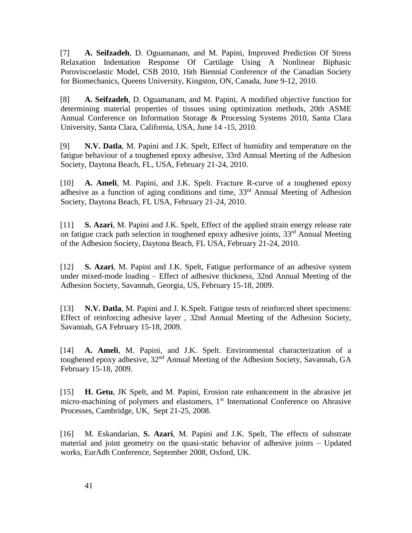[7] **A. Seifzadeh**, D. Oguamanam, and M. Papini, Improved Prediction Of Stress Relaxation Indentation Response Of Cartilage Using A Nonlinear Biphasic Poroviscoelastic Model, CSB 2010, 16th Biennial Conference of the Canadian Society for Biomechanics, Queens University, Kingston, ON, Canada, June 9-12, 2010.

[8] **A. Seifzadeh**, D. Oguamanam, and M. Papini, A modified objective function for determining material properties of tissues using optimization methods, 20th ASME Annual Conference on Information Storage & Processing Systems 2010, Santa Clara University, Santa Clara, California, USA, June 14 -15, 2010.

[9] **N.V. Datla**, M. Papini and J.K. Spelt, Effect of humidity and temperature on the fatigue behaviour of a toughened epoxy adhesive, 33rd Annual Meeting of the Adhesion Society, Daytona Beach, FL, USA, February 21-24, 2010.

[10] **A. Ameli**, M. Papini, and J.K. Spelt. Fracture R-curve of a toughened epoxy adhesive as a function of aging conditions and time, 33<sup>rd</sup> Annual Meeting of Adhesion Society, Daytona Beach, FL USA, February 21-24, 2010.

[11] **S. Azari**, M. Papini and J.K. Spelt, Effect of the applied strain energy release rate on fatigue crack path selection in toughened epoxy adhesive joints, 33<sup>rd</sup> Annual Meeting of the Adhesion Society, Daytona Beach, FL USA, February 21-24, 2010.

[12] **S. Azari**, M. Papini and J.K. Spelt, Fatigue performance of an adhesive system under mixed-mode loading – Effect of adhesive thickness, 32nd Annual Meeting of the Adhesion Society, Savannah, Georgia, US, February 15-18, 2009.

[13] **N.V. Datla**, M. Papini and J. K.Spelt. Fatigue tests of reinforced sheet specimens: Effect of reinforcing adhesive layer , 32nd Annual Meeting of the Adhesion Society, Savannah, GA February 15-18, 2009.

[14] **A. Ameli**, M. Papini, and J.K. Spelt. Environmental characterization of a toughened epoxy adhesive, 32<sup>nd</sup> Annual Meeting of the Adhesion Society, Savannah, GA February 15-18, 2009.

[15] **H. Getu**, JK Spelt, and M. Papini, Erosion rate enhancement in the abrasive jet micro-machining of polymers and elastomers, 1<sup>st</sup> International Conference on Abrasive Processes, Cambridge, UK, Sept 21-25, 2008.

[16] M. Eskandarian, **S. Azari**, M. Papini and J.K. Spelt, The effects of substrate material and joint geometry on the quasi-static behavior of adhesive joints – Updated works, EurAdh Conference, September 2008, Oxford, UK.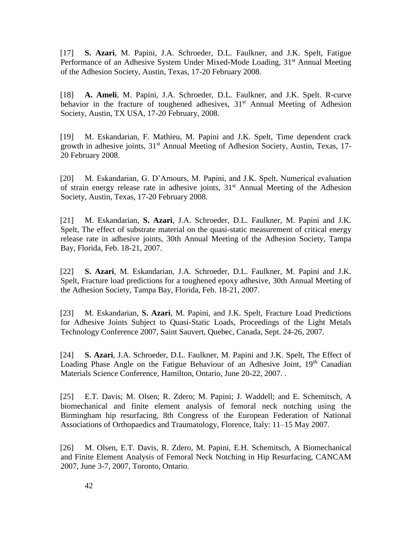[17] **S. Azari**, M. Papini, J.A. Schroeder, D.L. Faulkner, and J.K. Spelt, Fatigue Performance of an Adhesive System Under Mixed-Mode Loading, 31<sup>st</sup> Annual Meeting of the Adhesion Society, Austin, Texas, 17-20 February 2008.

[18] **A. Ameli**, M. Papini, J.A. Schroeder, D.L. Faulkner, and J.K. Spelt. R-curve behavior in the fracture of toughened adhesives,  $31<sup>st</sup>$  Annual Meeting of Adhesion Society, Austin, TX USA, 17-20 February, 2008.

[19] M. Eskandarian, F. Mathieu, M. Papini and J.K. Spelt, Time dependent crack growth in adhesive joints, 31<sup>st</sup> Annual Meeting of Adhesion Society, Austin, Texas, 17-20 February 2008.

[20] M. Eskandarian, G. D'Amours, M. Papini, and J.K. Spelt, Numerical evaluation of strain energy release rate in adhesive joints,  $31<sup>st</sup>$  Annual Meeting of the Adhesion Society, Austin, Texas, 17-20 February 2008.

[21] M. Eskandarian, **S. Azari**, J.A. Schroeder, D.L. Faulkner, M. Papini and J.K. Spelt, The effect of substrate material on the quasi-static measurement of critical energy release rate in adhesive joints, 30th Annual Meeting of the Adhesion Society, Tampa Bay, Florida*,* Feb. 18-21, 2007.

[22] **S. Azari**, M. Eskandarian, J.A. Schroeder, D.L. Faulkner, M. Papini and J.K. Spelt, Fracture load predictions for a toughened epoxy adhesive, 30th Annual Meeting of the Adhesion Society, Tampa Bay, Florida, Feb. 18-21, 2007.

[23] M. Eskandarian, **S. Azari**, M. Papini, and J.K. Spelt, Fracture Load Predictions for Adhesive Joints Subject to Quasi-Static Loads, Proceedings of the Light Metals Technology Conference 2007, Saint Sauvert, Quebec, Canada, Sept. 24-26, 2007.

[24] **S. Azari**, J.A. Schroeder, D.L. Faulkner, M. Papini and J.K. Spelt, The Effect of Loading Phase Angle on the Fatigue Behaviour of an Adhesive Joint,  $19<sup>th</sup>$  Canadian Materials Science Conference, Hamilton, Ontario, June 20-22, 2007. .

[25] E.T. Davis; M. Olsen; R. Zdero; M. Papini; J. Waddell; and E. Schemitsch, A biomechanical and finite element analysis of femoral neck notching using the Birmingham hip resurfacing, 8th Congress of the European Federation of National Associations of Orthopaedics and Traumatology, Florence, Italy: 11–15 May 2007.

[26] M. Olsen, E.T. Davis, R. Zdero, M. Papini, E.H. Schemitsch, A Biomechanical and Finite Element Analysis of Femoral Neck Notching in Hip Resurfacing, CANCAM 2007, June 3-7, 2007, Toronto, Ontario.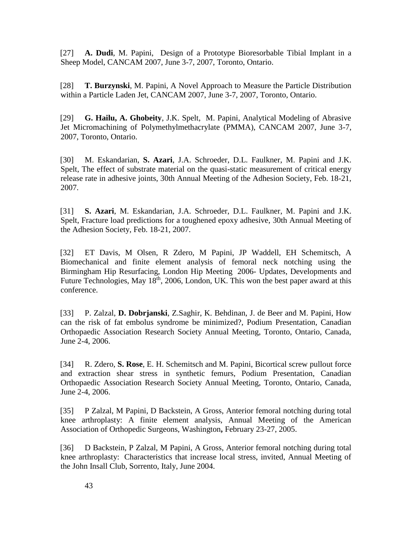[27] **A. Dudi**, M. Papini, Design of a Prototype Bioresorbable Tibial Implant in a Sheep Model, CANCAM 2007, June 3-7, 2007, Toronto, Ontario.

[28] **T. Burzynski**, M. Papini, A Novel Approach to Measure the Particle Distribution within a Particle Laden Jet, CANCAM 2007, June 3-7, 2007, Toronto, Ontario.

[29] **G. Hailu, A. Ghobeity**, J.K. Spelt, M. Papini, Analytical Modeling of Abrasive Jet Micromachining of Polymethylmethacrylate (PMMA), CANCAM 2007, June 3-7, 2007, Toronto, Ontario.

[30] M. Eskandarian, **S. Azari**, J.A. Schroeder, D.L. Faulkner, M. Papini and J.K. Spelt, The effect of substrate material on the quasi-static measurement of critical energy release rate in adhesive joints, 30th Annual Meeting of the Adhesion Society, Feb. 18-21, 2007.

[31] **S. Azari**, M. Eskandarian, J.A. Schroeder, D.L. Faulkner, M. Papini and J.K. Spelt, Fracture load predictions for a toughened epoxy adhesive, 30th Annual Meeting of the Adhesion Society, Feb. 18-21, 2007.

[32] ET Davis, M Olsen, R Zdero, M Papini, JP Waddell, EH Schemitsch, A Biomechanical and finite element analysis of femoral neck notching using the Birmingham Hip Resurfacing, London Hip Meeting 2006- Updates, Developments and Future Technologies, May 18<sup>th</sup>, 2006, London, UK. This won the best paper award at this conference.

[33] P. Zalzal, **D. Dobrjanski**, Z.Saghir, K. Behdinan, J. de Beer and M. Papini, How can the risk of fat embolus syndrome be minimized?, Podium Presentation, Canadian Orthopaedic Association Research Society Annual Meeting, Toronto, Ontario, Canada, June 2-4, 2006.

[34] R. Zdero, **S. Rose**, E. H. Schemitsch and M. Papini, Bicortical screw pullout force and extraction shear stress in synthetic femurs, Podium Presentation, Canadian Orthopaedic Association Research Society Annual Meeting, Toronto, Ontario, Canada, June 2-4, 2006.

[35] P Zalzal, M Papini, D Backstein, A Gross, Anterior femoral notching during total knee arthroplasty: A finite element analysis, Annual Meeting of the American Association of Orthopedic Surgeons, Washington**,** February 23-27, 2005.

[36] D Backstein, P Zalzal, M Papini, A Gross, Anterior femoral notching during total knee arthroplasty: Characteristics that increase local stress, invited, Annual Meeting of the John Insall Club, Sorrento, Italy, June 2004.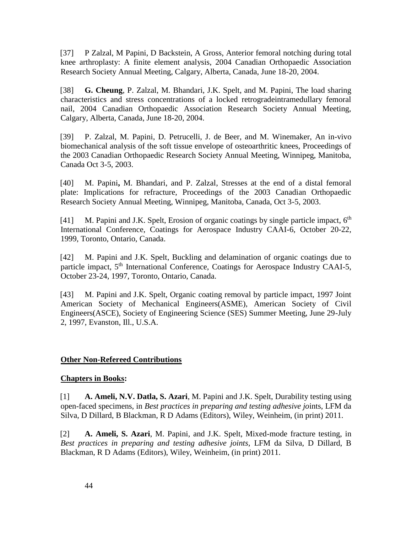[37] P Zalzal, M Papini, D Backstein, A Gross, Anterior femoral notching during total knee arthroplasty: A finite element analysis, 2004 Canadian Orthopaedic Association Research Society Annual Meeting, Calgary, Alberta, Canada, June 18-20, 2004.

[38] **G. Cheung**, P. Zalzal, M. Bhandari, J.K. Spelt, and M. Papini, The load sharing characteristics and stress concentrations of a locked retrogradeintramedullary femoral nail, 2004 Canadian Orthopaedic Association Research Society Annual Meeting, Calgary, Alberta, Canada, June 18-20, 2004.

[39] P. Zalzal, M. Papini, D. Petrucelli, J. de Beer, and M. Winemaker, An in-vivo biomechanical analysis of the soft tissue envelope of osteoarthritic knees, Proceedings of the 2003 Canadian Orthopaedic Research Society Annual Meeting, Winnipeg, Manitoba, Canada Oct 3-5, 2003.

[40] M. Papini**,** M. Bhandari, and P. Zalzal, Stresses at the end of a distal femoral plate: Implications for refracture, Proceedings of the 2003 Canadian Orthopaedic Research Society Annual Meeting, Winnipeg, Manitoba, Canada, Oct 3-5, 2003.

[41] M. Papini and J.K. Spelt, Erosion of organic coatings by single particle impact, 6<sup>th</sup> International Conference, Coatings for Aerospace Industry CAAI-6, October 20-22, 1999, Toronto, Ontario, Canada.

[42] M. Papini and J.K. Spelt, Buckling and delamination of organic coatings due to particle impact, 5<sup>th</sup> International Conference, Coatings for Aerospace Industry CAAI-5, October 23-24, 1997, Toronto, Ontario, Canada.

[43] M. Papini and J.K. Spelt, Organic coating removal by particle impact, 1997 Joint American Society of Mechanical Engineers(ASME), American Society of Civil Engineers(ASCE), Society of Engineering Science (SES) Summer Meeting, June 29-July 2, 1997, Evanston, Ill., U.S.A.

## **Other Non-Refereed Contributions**

## **Chapters in Books:**

[1] **A. Ameli, N.V. Datla, S. Azari**, M. Papini and J.K. Spelt, Durability testing using open-faced specimens, in *Best practices in preparing and testing adhesive jo*ints, LFM da Silva, D Dillard, B Blackman, R D Adams (Editors), Wiley, Weinheim, (in print) 2011.

[2] **A. Ameli, S. Azari**, M. Papini, and J.K. Spelt, Mixed-mode fracture testing, in *Best practices in preparing and testing adhesive joints*, LFM da Silva, D Dillard, B Blackman, R D Adams (Editors), Wiley, Weinheim, (in print) 2011.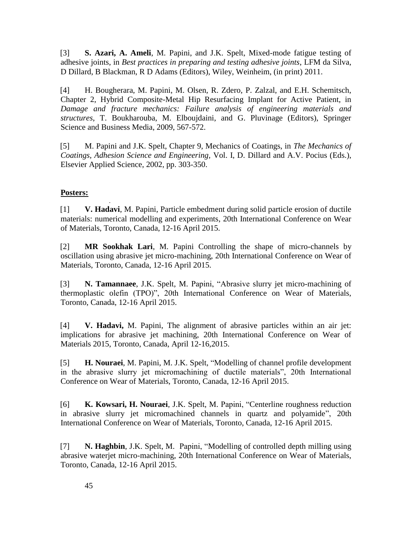[3] **S. Azari, A. Ameli**, M. Papini, and J.K. Spelt, Mixed-mode fatigue testing of adhesive joints, in *Best practices in preparing and testing adhesive joints*, LFM da Silva, D Dillard, B Blackman, R D Adams (Editors), Wiley, Weinheim, (in print) 2011.

[4] H. Bougherara, M. Papini, M. Olsen, R. Zdero, P. Zalzal, and E.H. Schemitsch, Chapter 2, Hybrid Composite-Metal Hip Resurfacing Implant for Active Patient, in *Damage and fracture mechanics: Failure analysis of engineering materials and structures*, T. Boukharouba, M. Elboujdaini, and G. Pluvinage (Editors), Springer Science and Business Media, 2009, 567-572.

[5] M. Papini and J.K. Spelt, Chapter 9, Mechanics of Coatings, in *The Mechanics of Coatings, Adhesion Science and Engineering,* Vol. I, D. Dillard and A.V. Pocius (Eds.), Elsevier Applied Science, 2002, pp. 303-350.

# **Posters:**

. [1] **V. Hadavi**, M. Papini, Particle embedment during solid particle erosion of ductile materials: numerical modelling and experiments, 20th International Conference on Wear of Materials, Toronto, Canada, 12-16 April 2015.

[2] **MR Sookhak Lari**, M. Papini Controlling the shape of micro-channels by oscillation using abrasive jet micro-machining, 20th International Conference on Wear of Materials, Toronto, Canada, 12-16 April 2015.

[3] **N. Tamannaee**, J.K. Spelt, M. Papini, "Abrasive slurry jet micro-machining of thermoplastic olefin (TPO)", 20th International Conference on Wear of Materials, Toronto, Canada, 12-16 April 2015.

[4] **V. Hadavi,** M. Papini, The alignment of abrasive particles within an air jet: implications for abrasive jet machining, 20th International Conference on Wear of Materials 2015, Toronto, Canada, April 12-16,2015.

[5] **H. Nouraei**, M. Papini, M. J.K. Spelt, "Modelling of channel profile development in the abrasive slurry jet micromachining of ductile materials", 20th International Conference on Wear of Materials, Toronto, Canada, 12-16 April 2015.

[6] **K. Kowsari, H. Nouraei**, J.K. Spelt, M. Papini, "Centerline roughness reduction in abrasive slurry jet micromachined channels in quartz and polyamide", 20th International Conference on Wear of Materials, Toronto, Canada, 12-16 April 2015.

[7] **N. Haghbin**, J.K. Spelt, M. Papini, "Modelling of controlled depth milling using abrasive waterjet micro-machining, 20th International Conference on Wear of Materials, Toronto, Canada, 12-16 April 2015.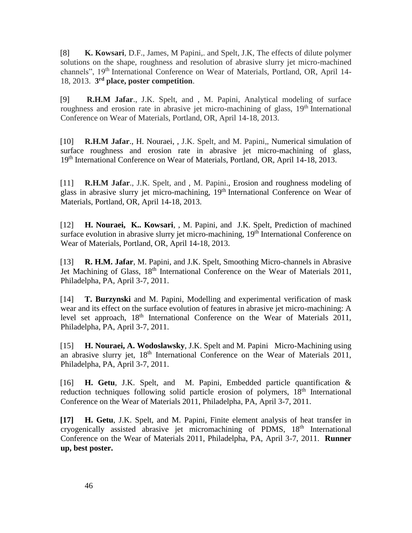[8] **K. Kowsari**, D.F., James, M Papini,. and Spelt, J.K, The effects of dilute polymer solutions on the shape, roughness and resolution of abrasive slurry jet micro-machined channels", 19th International Conference on Wear of Materials, Portland, OR, April 14- 18, 2013. **3 rd place, poster competition**.

[9] **R.H.M Jafar**., J.K. Spelt, and , M. Papini, Analytical modeling of surface roughness and erosion rate in abrasive jet micro-machining of glass, 19<sup>th</sup> International Conference on Wear of Materials, Portland, OR, April 14-18, 2013.

[10] **R.H.M Jafar**., H. Nouraei, , J.K. Spelt, and M. Papini,, Numerical simulation of surface roughness and erosion rate in abrasive jet micro-machining of glass, 19<sup>th</sup> International Conference on Wear of Materials, Portland, OR, April 14-18, 2013.

[11] **R.H.M Jafar**., J.K. Spelt, and , M. Papini., Erosion and roughness modeling of glass in abrasive slurry jet micro-machining, 19th International Conference on Wear of Materials, Portland, OR, April 14-18, 2013.

[12] **H. Nouraei, K.. Kowsari**, , M. Papini, and J.K. Spelt, Prediction of machined surface evolution in abrasive slurry jet micro-machining, 19<sup>th</sup> International Conference on Wear of Materials, Portland, OR, April 14-18, 2013.

[13] **R. H.M. Jafar**, M. Papini, and J.K. Spelt, Smoothing Micro-channels in Abrasive Jet Machining of Glass,  $18<sup>th</sup>$  International Conference on the Wear of Materials 2011, Philadelpha, PA, April 3-7, 2011.

[14] **T. Burzynski** and M. Papini, Modelling and experimental verification of mask wear and its effect on the surface evolution of features in abrasive jet micro-machining: A level set approach,  $18<sup>th</sup>$  International Conference on the Wear of Materials 2011, Philadelpha, PA, April 3-7, 2011.

[15] **H. Nouraei, A. Wodoslawsky**, J.K. Spelt and M. Papini Micro-Machining using an abrasive slurry jet, 18<sup>th</sup> International Conference on the Wear of Materials 2011, Philadelpha, PA, April 3-7, 2011.

[16] **H. Getu**, J.K. Spelt, and M. Papini, Embedded particle quantification & reduction techniques following solid particle erosion of polymers, 18<sup>th</sup> International Conference on the Wear of Materials 2011, Philadelpha, PA, April 3-7, 2011.

**[17] H. Getu**, J.K. Spelt, and M. Papini, Finite element analysis of heat transfer in cryogenically assisted abrasive jet micromachining of PDMS, 18<sup>th</sup> International Conference on the Wear of Materials 2011, Philadelpha, PA, April 3-7, 2011. **Runner up, best poster.**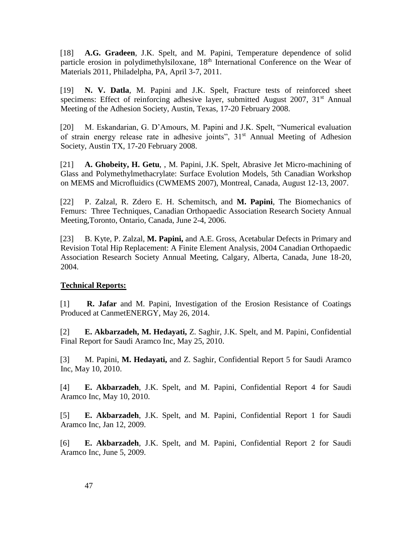[18] **A.G. Gradeen**, J.K. Spelt, and M. Papini, Temperature dependence of solid particle erosion in polydimethylsiloxane, 18<sup>th</sup> International Conference on the Wear of Materials 2011, Philadelpha, PA, April 3-7, 2011.

[19] **N. V. Datla**, M. Papini and J.K. Spelt, Fracture tests of reinforced sheet specimens: Effect of reinforcing adhesive layer, submitted August 2007,  $31<sup>st</sup>$  Annual Meeting of the Adhesion Society, Austin, Texas, 17-20 February 2008.

[20] M. Eskandarian, G. D'Amours, M. Papini and J.K. Spelt, "Numerical evaluation of strain energy release rate in adhesive joints", 31<sup>st</sup> Annual Meeting of Adhesion Society, Austin TX, 17-20 February 2008.

[21] **A. Ghobeity, H. Getu**, , M. Papini, J.K. Spelt, Abrasive Jet Micro-machining of Glass and Polymethylmethacrylate: Surface Evolution Models, 5th Canadian Workshop on MEMS and Microfluidics (CWMEMS 2007), Montreal, Canada, August 12-13, 2007.

[22] P. Zalzal, R. Zdero E. H. Schemitsch, and **M. Papini**, The Biomechanics of Femurs: Three Techniques, Canadian Orthopaedic Association Research Society Annual Meeting,Toronto, Ontario, Canada, June 2-4, 2006.

[23] B. Kyte, P. Zalzal, **M. Papini,** and A.E. Gross, Acetabular Defects in Primary and Revision Total Hip Replacement: A Finite Element Analysis, 2004 Canadian Orthopaedic Association Research Society Annual Meeting, Calgary, Alberta, Canada, June 18-20, 2004.

# **Technical Reports:**

[1] **R. Jafar** and M. Papini, Investigation of the Erosion Resistance of Coatings Produced at CanmetENERGY, May 26, 2014.

[2] **E. Akbarzadeh, M. Hedayati,** Z. Saghir, J.K. Spelt, and M. Papini, Confidential Final Report for Saudi Aramco Inc, May 25, 2010.

[3] M. Papini, **M. Hedayati,** and Z. Saghir, Confidential Report 5 for Saudi Aramco Inc, May 10, 2010.

[4] **E. Akbarzadeh**, J.K. Spelt, and M. Papini, Confidential Report 4 for Saudi Aramco Inc, May 10, 2010.

[5] **E. Akbarzadeh**, J.K. Spelt, and M. Papini, Confidential Report 1 for Saudi Aramco Inc, Jan 12, 2009.

[6] **E. Akbarzadeh**, J.K. Spelt, and M. Papini, Confidential Report 2 for Saudi Aramco Inc, June 5, 2009.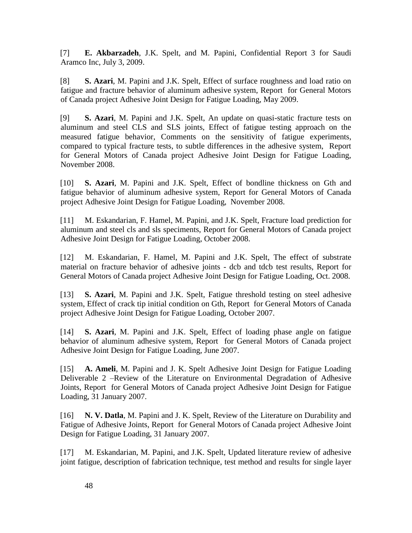[7] **E. Akbarzadeh**, J.K. Spelt, and M. Papini, Confidential Report 3 for Saudi Aramco Inc, July 3, 2009.

[8] **S. Azari**, M. Papini and J.K. Spelt, Effect of surface roughness and load ratio on fatigue and fracture behavior of aluminum adhesive system, Report for General Motors of Canada project Adhesive Joint Design for Fatigue Loading, May 2009.

[9] **S. Azari**, M. Papini and J.K. Spelt, An update on quasi-static fracture tests on aluminum and steel CLS and SLS joints, Effect of fatigue testing approach on the measured fatigue behavior, Comments on the sensitivity of fatigue experiments, compared to typical fracture tests, to subtle differences in the adhesive system, Report for General Motors of Canada project Adhesive Joint Design for Fatigue Loading, November 2008.

[10] **S. Azari**, M. Papini and J.K. Spelt, Effect of bondline thickness on Gth and fatigue behavior of aluminum adhesive system, Report for General Motors of Canada project Adhesive Joint Design for Fatigue Loading, November 2008.

[11] M. Eskandarian, F. Hamel, M. Papini, and J.K. Spelt, Fracture load prediction for aluminum and steel cls and sls speciments, Report for General Motors of Canada project Adhesive Joint Design for Fatigue Loading, October 2008.

[12] M. Eskandarian, F. Hamel, M. Papini and J.K. Spelt, The effect of substrate material on fracture behavior of adhesive joints - dcb and tdcb test results, Report for General Motors of Canada project Adhesive Joint Design for Fatigue Loading, Oct. 2008.

[13] **S. Azari**, M. Papini and J.K. Spelt, Fatigue threshold testing on steel adhesive system, Effect of crack tip initial condition on Gth, Report for General Motors of Canada project Adhesive Joint Design for Fatigue Loading, October 2007.

[14] **S. Azari**, M. Papini and J.K. Spelt, Effect of loading phase angle on fatigue behavior of aluminum adhesive system, Report for General Motors of Canada project Adhesive Joint Design for Fatigue Loading, June 2007.

[15] **A. Ameli**, M. Papini and J. K. Spelt Adhesive Joint Design for Fatigue Loading Deliverable 2 –Review of the Literature on Environmental Degradation of Adhesive Joints, Report for General Motors of Canada project Adhesive Joint Design for Fatigue Loading, 31 January 2007.

[16] **N. V. Datla**, M. Papini and J. K. Spelt, Review of the Literature on Durability and Fatigue of Adhesive Joints, Report for General Motors of Canada project Adhesive Joint Design for Fatigue Loading, 31 January 2007.

[17] M. Eskandarian, M. Papini, and J.K. Spelt, Updated literature review of adhesive joint fatigue, description of fabrication technique, test method and results for single layer